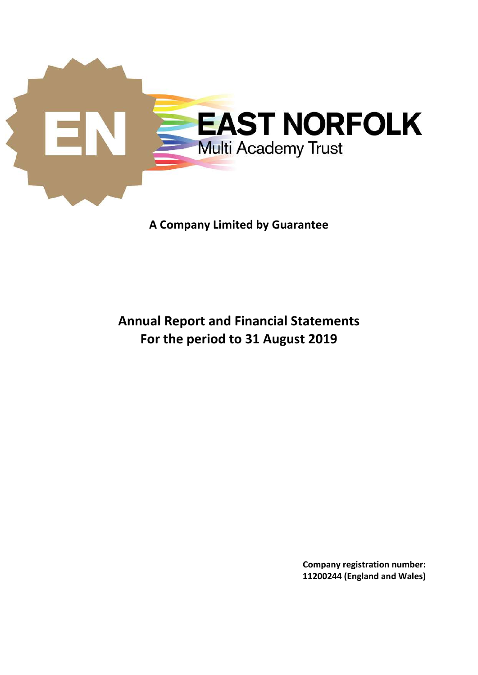

# **A Company Limited by Guarantee**

# **Annual Report and Financial Statements For the period to 31 August 2019**

**Company registration number: 11200244 (England and Wales)**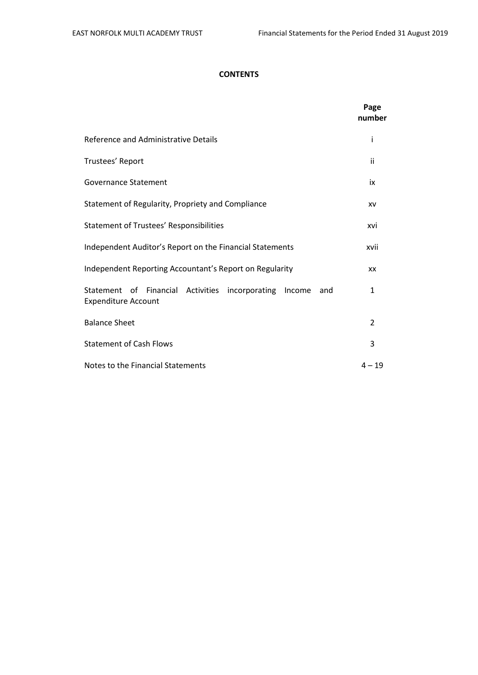# **CONTENTS**

|                                                                                             | Page<br>number |
|---------------------------------------------------------------------------------------------|----------------|
| Reference and Administrative Details                                                        | i              |
| Trustees' Report                                                                            | ii             |
| Governance Statement                                                                        | ix             |
| Statement of Regularity, Propriety and Compliance                                           | XV             |
| <b>Statement of Trustees' Responsibilities</b>                                              | xvi            |
| Independent Auditor's Report on the Financial Statements                                    | xvii           |
| Independent Reporting Accountant's Report on Regularity                                     | XX             |
| Statement of Financial Activities incorporating Income<br>and<br><b>Expenditure Account</b> | 1              |
| <b>Balance Sheet</b>                                                                        | $\overline{2}$ |
| <b>Statement of Cash Flows</b>                                                              | 3              |
| Notes to the Financial Statements                                                           | $4 - 19$       |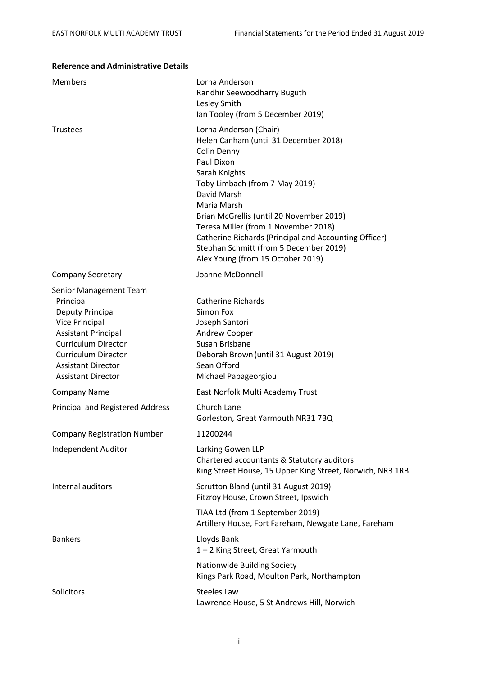| Reference and Administrative D                                                                                                                                                                                                |                                                                                                                                                                                                                                                                                                                                                                                                           |
|-------------------------------------------------------------------------------------------------------------------------------------------------------------------------------------------------------------------------------|-----------------------------------------------------------------------------------------------------------------------------------------------------------------------------------------------------------------------------------------------------------------------------------------------------------------------------------------------------------------------------------------------------------|
| Members                                                                                                                                                                                                                       | Lorna Anderson<br>Randhir Seewoodharry Buguth<br>Lesley Smith<br>Ian Tooley (from 5 December 2019)                                                                                                                                                                                                                                                                                                        |
| <b>Trustees</b>                                                                                                                                                                                                               | Lorna Anderson (Chair)<br>Helen Canham (until 31 December 2018)<br>Colin Denny<br>Paul Dixon<br>Sarah Knights<br>Toby Limbach (from 7 May 2019)<br>David Marsh<br>Maria Marsh<br>Brian McGrellis (until 20 November 2019)<br>Teresa Miller (from 1 November 2018)<br>Catherine Richards (Principal and Accounting Officer)<br>Stephan Schmitt (from 5 December 2019)<br>Alex Young (from 15 October 2019) |
| <b>Company Secretary</b>                                                                                                                                                                                                      | Joanne McDonnell                                                                                                                                                                                                                                                                                                                                                                                          |
| Senior Management Team<br>Principal<br>Deputy Principal<br>Vice Principal<br><b>Assistant Principal</b><br><b>Curriculum Director</b><br><b>Curriculum Director</b><br><b>Assistant Director</b><br><b>Assistant Director</b> | <b>Catherine Richards</b><br>Simon Fox<br>Joseph Santori<br>Andrew Cooper<br>Susan Brisbane<br>Deborah Brown (until 31 August 2019)<br>Sean Offord<br>Michael Papageorgiou                                                                                                                                                                                                                                |
| <b>Company Name</b>                                                                                                                                                                                                           | East Norfolk Multi Academy Trust                                                                                                                                                                                                                                                                                                                                                                          |
| <b>Principal and Registered Address</b>                                                                                                                                                                                       | Church Lane<br>Gorleston, Great Yarmouth NR31 7BQ                                                                                                                                                                                                                                                                                                                                                         |
| <b>Company Registration Number</b>                                                                                                                                                                                            | 11200244                                                                                                                                                                                                                                                                                                                                                                                                  |
| Independent Auditor                                                                                                                                                                                                           | Larking Gowen LLP<br>Chartered accountants & Statutory auditors<br>King Street House, 15 Upper King Street, Norwich, NR3 1RB                                                                                                                                                                                                                                                                              |
| Internal auditors                                                                                                                                                                                                             | Scrutton Bland (until 31 August 2019)<br>Fitzroy House, Crown Street, Ipswich                                                                                                                                                                                                                                                                                                                             |
|                                                                                                                                                                                                                               | TIAA Ltd (from 1 September 2019)<br>Artillery House, Fort Fareham, Newgate Lane, Fareham                                                                                                                                                                                                                                                                                                                  |
| <b>Bankers</b>                                                                                                                                                                                                                | Lloyds Bank<br>1-2 King Street, Great Yarmouth                                                                                                                                                                                                                                                                                                                                                            |
|                                                                                                                                                                                                                               | Nationwide Building Society<br>Kings Park Road, Moulton Park, Northampton                                                                                                                                                                                                                                                                                                                                 |
| Solicitors                                                                                                                                                                                                                    | <b>Steeles Law</b><br>Lawrence House, 5 St Andrews Hill, Norwich                                                                                                                                                                                                                                                                                                                                          |

#### **Reference and Administrative Details**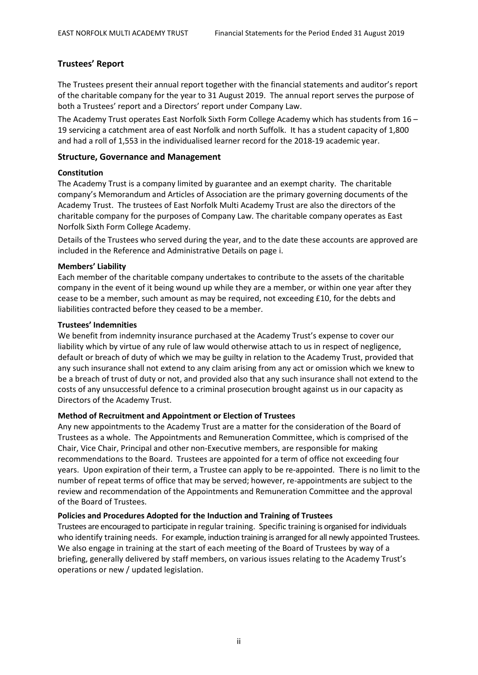# **Trustees' Report**

The Trustees present their annual report together with the financial statements and auditor's report of the charitable company for the year to 31 August 2019. The annual report serves the purpose of both a Trustees' report and a Directors' report under Company Law.

The Academy Trust operates East Norfolk Sixth Form College Academy which has students from 16 – 19 servicing a catchment area of east Norfolk and north Suffolk. It has a student capacity of 1,800 and had a roll of 1,553 in the individualised learner record for the 2018-19 academic year.

### **Structure, Governance and Management**

#### **Constitution**

The Academy Trust is a company limited by guarantee and an exempt charity. The charitable company's Memorandum and Articles of Association are the primary governing documents of the Academy Trust. The trustees of East Norfolk Multi Academy Trust are also the directors of the charitable company for the purposes of Company Law. The charitable company operates as East Norfolk Sixth Form College Academy.

Details of the Trustees who served during the year, and to the date these accounts are approved are included in the Reference and Administrative Details on page i.

#### **Members' Liability**

Each member of the charitable company undertakes to contribute to the assets of the charitable company in the event of it being wound up while they are a member, or within one year after they cease to be a member, such amount as may be required, not exceeding £10, for the debts and liabilities contracted before they ceased to be a member.

#### **Trustees' Indemnities**

We benefit from indemnity insurance purchased at the Academy Trust's expense to cover our liability which by virtue of any rule of law would otherwise attach to us in respect of negligence, default or breach of duty of which we may be guilty in relation to the Academy Trust, provided that any such insurance shall not extend to any claim arising from any act or omission which we knew to be a breach of trust of duty or not, and provided also that any such insurance shall not extend to the costs of any unsuccessful defence to a criminal prosecution brought against us in our capacity as Directors of the Academy Trust.

# **Method of Recruitment and Appointment or Election of Trustees**

Any new appointments to the Academy Trust are a matter for the consideration of the Board of Trustees as a whole. The Appointments and Remuneration Committee, which is comprised of the Chair, Vice Chair, Principal and other non-Executive members, are responsible for making recommendations to the Board. Trustees are appointed for a term of office not exceeding four years. Upon expiration of their term, a Trustee can apply to be re-appointed. There is no limit to the number of repeat terms of office that may be served; however, re-appointments are subject to the review and recommendation of the Appointments and Remuneration Committee and the approval of the Board of Trustees.

#### **Policies and Procedures Adopted for the Induction and Training of Trustees**

Trustees are encouraged to participate in regular training. Specific training is organised for individuals who identify training needs. For example, induction training is arranged for all newly appointed Trustees. We also engage in training at the start of each meeting of the Board of Trustees by way of a briefing, generally delivered by staff members, on various issues relating to the Academy Trust's operations or new / updated legislation.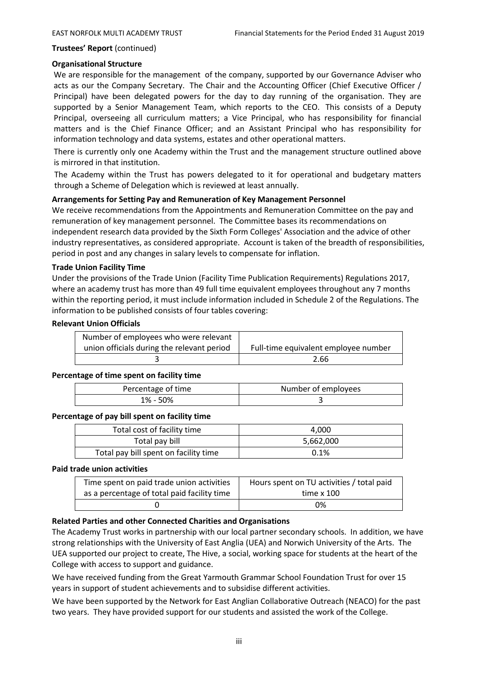### **Organisational Structure**

We are responsible for the management of the company, supported by our Governance Adviser who acts as our the Company Secretary. The Chair and the Accounting Officer (Chief Executive Officer / Principal) have been delegated powers for the day to day running of the organisation. They are supported by a Senior Management Team, which reports to the CEO. This consists of a Deputy Principal, overseeing all curriculum matters; a Vice Principal, who has responsibility for financial matters and is the Chief Finance Officer; and an Assistant Principal who has responsibility for information technology and data systems, estates and other operational matters.

There is currently only one Academy within the Trust and the management structure outlined above is mirrored in that institution.

The Academy within the Trust has powers delegated to it for operational and budgetary matters through a Scheme of Delegation which is reviewed at least annually.

#### **Arrangements for Setting Pay and Remuneration of Key Management Personnel**

We receive recommendations from the Appointments and Remuneration Committee on the pay and remuneration of key management personnel. The Committee bases its recommendations on independent research data provided by the Sixth Form Colleges' Association and the advice of other industry representatives, as considered appropriate. Account is taken of the breadth of responsibilities, period in post and any changes in salary levels to compensate for inflation.

#### **Trade Union Facility Time**

Under the provisions of the Trade Union (Facility Time Publication Requirements) Regulations 2017, where an academy trust has more than 49 full time equivalent employees throughout any 7 months within the reporting period, it must include information included in Schedule 2 of the Regulations. The information to be published consists of four tables covering:

#### **Relevant Union Officials**

| Number of employees who were relevant      |                                      |
|--------------------------------------------|--------------------------------------|
| union officials during the relevant period | Full-time equivalent employee number |
|                                            | 2.66                                 |

#### **Percentage of time spent on facility time**

| Percentage of time | Number of employees |
|--------------------|---------------------|
| 1% - 50%           |                     |

#### **Percentage of pay bill spent on facility time**

| Total cost of facility time           | 4.000     |
|---------------------------------------|-----------|
| Total pay bill                        | 5,662,000 |
| Total pay bill spent on facility time | 0.1%      |

#### **Paid trade union activities**

| Time spent on paid trade union activities   | Hours spent on TU activities / total paid |
|---------------------------------------------|-------------------------------------------|
| as a percentage of total paid facility time | time x 100                                |
|                                             | 0%                                        |

#### **Related Parties and other Connected Charities and Organisations**

The Academy Trust works in partnership with our local partner secondary schools. In addition, we have strong relationships with the University of East Anglia (UEA) and Norwich University of the Arts. The UEA supported our project to create, The Hive, a social, working space for students at the heart of the College with access to support and guidance.

We have received funding from the Great Yarmouth Grammar School Foundation Trust for over 15 years in support of student achievements and to subsidise different activities.

We have been supported by the Network for East Anglian Collaborative Outreach (NEACO) for the past two years. They have provided support for our students and assisted the work of the College.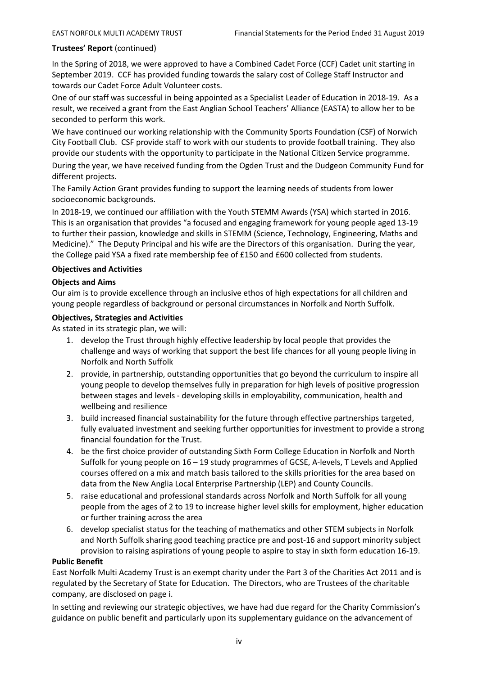In the Spring of 2018, we were approved to have a Combined Cadet Force (CCF) Cadet unit starting in September 2019. CCF has provided funding towards the salary cost of College Staff Instructor and towards our Cadet Force Adult Volunteer costs.

One of our staff was successful in being appointed as a Specialist Leader of Education in 2018-19. As a result, we received a grant from the East Anglian School Teachers' Alliance (EASTA) to allow her to be seconded to perform this work.

We have continued our working relationship with the Community Sports Foundation (CSF) of Norwich City Football Club. CSF provide staff to work with our students to provide football training. They also provide our students with the opportunity to participate in the National Citizen Service programme. During the year, we have received funding from the Ogden Trust and the Dudgeon Community Fund for different projects.

The Family Action Grant provides funding to support the learning needs of students from lower socioeconomic backgrounds.

In 2018-19, we continued our affiliation with the Youth STEMM Awards (YSA) which started in 2016. This is an organisation that provides "a focused and engaging framework for young people aged 13-19 to further their passion, knowledge and skills in STEMM (Science, Technology, Engineering, Maths and Medicine)." The Deputy Principal and his wife are the Directors of this organisation. During the year, the College paid YSA a fixed rate membership fee of £150 and £600 collected from students.

# **Objectives and Activities**

# **Objects and Aims**

Our aim is to provide excellence through an inclusive ethos of high expectations for all children and young people regardless of background or personal circumstances in Norfolk and North Suffolk.

# **Objectives, Strategies and Activities**

As stated in its strategic plan, we will:

- 1. develop the Trust through highly effective leadership by local people that provides the challenge and ways of working that support the best life chances for all young people living in Norfolk and North Suffolk
- 2. provide, in partnership, outstanding opportunities that go beyond the curriculum to inspire all young people to develop themselves fully in preparation for high levels of positive progression between stages and levels - developing skills in employability, communication, health and wellbeing and resilience
- 3. build increased financial sustainability for the future through effective partnerships targeted, fully evaluated investment and seeking further opportunities for investment to provide a strong financial foundation for the Trust.
- 4. be the first choice provider of outstanding Sixth Form College Education in Norfolk and North Suffolk for young people on 16 – 19 study programmes of GCSE, A-levels, T Levels and Applied courses offered on a mix and match basis tailored to the skills priorities for the area based on data from the New Anglia Local Enterprise Partnership (LEP) and County Councils.
- 5. raise educational and professional standards across Norfolk and North Suffolk for all young people from the ages of 2 to 19 to increase higher level skills for employment, higher education or further training across the area
- 6. develop specialist status for the teaching of mathematics and other STEM subjects in Norfolk and North Suffolk sharing good teaching practice pre and post-16 and support minority subject provision to raising aspirations of young people to aspire to stay in sixth form education 16-19.

# **Public Benefit**

East Norfolk Multi Academy Trust is an exempt charity under the Part 3 of the Charities Act 2011 and is regulated by the Secretary of State for Education. The Directors, who are Trustees of the charitable company, are disclosed on page i.

In setting and reviewing our strategic objectives, we have had due regard for the Charity Commission's guidance on public benefit and particularly upon its supplementary guidance on the advancement of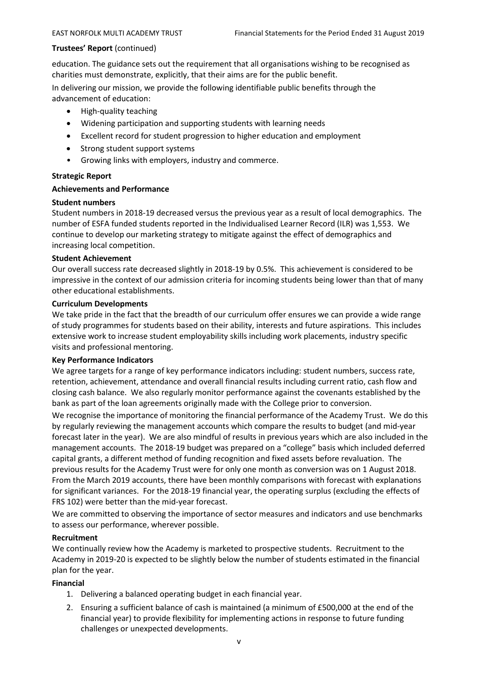education. The guidance sets out the requirement that all organisations wishing to be recognised as charities must demonstrate, explicitly, that their aims are for the public benefit.

In delivering our mission, we provide the following identifiable public benefits through the advancement of education:

- High-quality teaching
- Widening participation and supporting students with learning needs
- Excellent record for student progression to higher education and employment
- Strong student support systems
- Growing links with employers, industry and commerce.

#### **Strategic Report**

#### **Achievements and Performance**

#### **Student numbers**

Student numbers in 2018-19 decreased versus the previous year as a result of local demographics. The number of ESFA funded students reported in the Individualised Learner Record (ILR) was 1,553. We continue to develop our marketing strategy to mitigate against the effect of demographics and increasing local competition.

#### **Student Achievement**

Our overall success rate decreased slightly in 2018-19 by 0.5%. This achievement is considered to be impressive in the context of our admission criteria for incoming students being lower than that of many other educational establishments.

#### **Curriculum Developments**

We take pride in the fact that the breadth of our curriculum offer ensures we can provide a wide range of study programmes for students based on their ability, interests and future aspirations. This includes extensive work to increase student employability skills including work placements, industry specific visits and professional mentoring.

#### **Key Performance Indicators**

We agree targets for a range of key performance indicators including: student numbers, success rate, retention, achievement, attendance and overall financial results including current ratio, cash flow and closing cash balance. We also regularly monitor performance against the covenants established by the bank as part of the loan agreements originally made with the College prior to conversion.

We recognise the importance of monitoring the financial performance of the Academy Trust. We do this by regularly reviewing the management accounts which compare the results to budget (and mid-year forecast later in the year). We are also mindful of results in previous years which are also included in the management accounts. The 2018-19 budget was prepared on a "college" basis which included deferred capital grants, a different method of funding recognition and fixed assets before revaluation. The previous results for the Academy Trust were for only one month as conversion was on 1 August 2018. From the March 2019 accounts, there have been monthly comparisons with forecast with explanations for significant variances. For the 2018-19 financial year, the operating surplus (excluding the effects of FRS 102) were better than the mid-year forecast.

We are committed to observing the importance of sector measures and indicators and use benchmarks to assess our performance, wherever possible.

#### **Recruitment**

We continually review how the Academy is marketed to prospective students. Recruitment to the Academy in 2019-20 is expected to be slightly below the number of students estimated in the financial plan for the year.

#### **Financial**

- 1. Delivering a balanced operating budget in each financial year.
- 2. Ensuring a sufficient balance of cash is maintained (a minimum of £500,000 at the end of the financial year) to provide flexibility for implementing actions in response to future funding challenges or unexpected developments.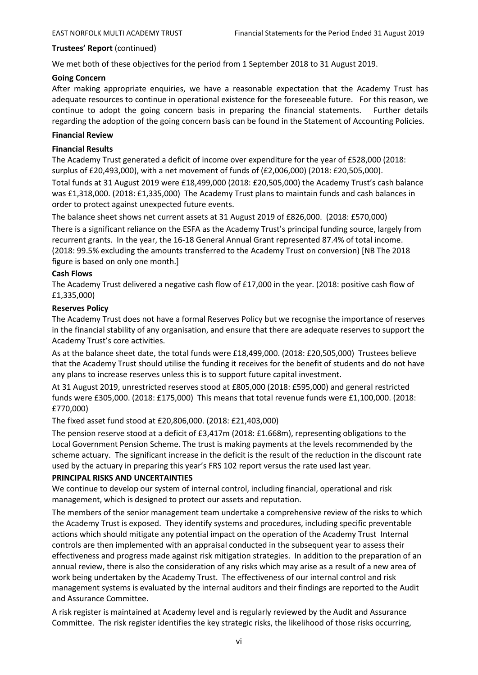We met both of these objectives for the period from 1 September 2018 to 31 August 2019.

#### **Going Concern**

After making appropriate enquiries, we have a reasonable expectation that the Academy Trust has adequate resources to continue in operational existence for the foreseeable future. For this reason, we continue to adopt the going concern basis in preparing the financial statements. Further details regarding the adoption of the going concern basis can be found in the Statement of Accounting Policies.

#### **Financial Review**

#### **Financial Results**

The Academy Trust generated a deficit of income over expenditure for the year of £528,000 (2018: surplus of £20,493,000), with a net movement of funds of (£2,006,000) (2018: £20,505,000).

Total funds at 31 August 2019 were £18,499,000 (2018: £20,505,000) the Academy Trust's cash balance was £1,318,000. (2018: £1,335,000) The Academy Trust plans to maintain funds and cash balances in order to protect against unexpected future events.

The balance sheet shows net current assets at 31 August 2019 of £826,000. (2018: £570,000)

There is a significant reliance on the ESFA as the Academy Trust's principal funding source, largely from recurrent grants. In the year, the 16-18 General Annual Grant represented 87.4% of total income. (2018: 99.5% excluding the amounts transferred to the Academy Trust on conversion) [NB The 2018 figure is based on only one month.]

#### **Cash Flows**

The Academy Trust delivered a negative cash flow of £17,000 in the year. (2018: positive cash flow of £1,335,000)

#### **Reserves Policy**

The Academy Trust does not have a formal Reserves Policy but we recognise the importance of reserves in the financial stability of any organisation, and ensure that there are adequate reserves to support the Academy Trust's core activities.

As at the balance sheet date, the total funds were £18,499,000. (2018: £20,505,000) Trustees believe that the Academy Trust should utilise the funding it receives for the benefit of students and do not have any plans to increase reserves unless this is to support future capital investment.

At 31 August 2019, unrestricted reserves stood at £805,000 (2018: £595,000) and general restricted funds were £305,000. (2018: £175,000) This means that total revenue funds were £1,100,000. (2018: £770,000)

The fixed asset fund stood at £20,806,000. (2018: £21,403,000)

The pension reserve stood at a deficit of £3,417m (2018: £1.668m), representing obligations to the Local Government Pension Scheme. The trust is making payments at the levels recommended by the scheme actuary. The significant increase in the deficit is the result of the reduction in the discount rate used by the actuary in preparing this year's FRS 102 report versus the rate used last year.

# **PRINCIPAL RISKS AND UNCERTAINTIES**

We continue to develop our system of internal control, including financial, operational and risk management, which is designed to protect our assets and reputation.

The members of the senior management team undertake a comprehensive review of the risks to which the Academy Trust is exposed. They identify systems and procedures, including specific preventable actions which should mitigate any potential impact on the operation of the Academy Trust Internal controls are then implemented with an appraisal conducted in the subsequent year to assess their effectiveness and progress made against risk mitigation strategies. In addition to the preparation of an annual review, there is also the consideration of any risks which may arise as a result of a new area of work being undertaken by the Academy Trust. The effectiveness of our internal control and risk management systems is evaluated by the internal auditors and their findings are reported to the Audit and Assurance Committee.

A risk register is maintained at Academy level and is regularly reviewed by the Audit and Assurance Committee. The risk register identifies the key strategic risks, the likelihood of those risks occurring,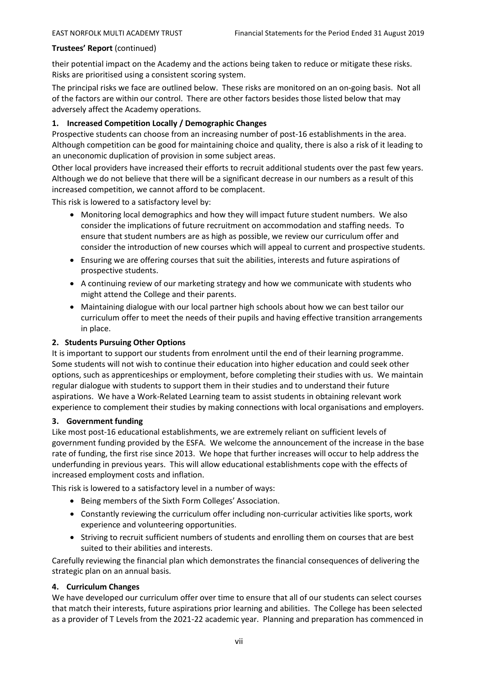their potential impact on the Academy and the actions being taken to reduce or mitigate these risks. Risks are prioritised using a consistent scoring system.

The principal risks we face are outlined below. These risks are monitored on an on-going basis. Not all of the factors are within our control. There are other factors besides those listed below that may adversely affect the Academy operations.

# **1. Increased Competition Locally / Demographic Changes**

Prospective students can choose from an increasing number of post-16 establishments in the area. Although competition can be good for maintaining choice and quality, there is also a risk of it leading to an uneconomic duplication of provision in some subject areas.

Other local providers have increased their efforts to recruit additional students over the past few years. Although we do not believe that there will be a significant decrease in our numbers as a result of this increased competition, we cannot afford to be complacent.

This risk is lowered to a satisfactory level by:

- Monitoring local demographics and how they will impact future student numbers. We also consider the implications of future recruitment on accommodation and staffing needs. To ensure that student numbers are as high as possible, we review our curriculum offer and consider the introduction of new courses which will appeal to current and prospective students.
- Ensuring we are offering courses that suit the abilities, interests and future aspirations of prospective students.
- A continuing review of our marketing strategy and how we communicate with students who might attend the College and their parents.
- Maintaining dialogue with our local partner high schools about how we can best tailor our curriculum offer to meet the needs of their pupils and having effective transition arrangements in place.

# **2. Students Pursuing Other Options**

It is important to support our students from enrolment until the end of their learning programme. Some students will not wish to continue their education into higher education and could seek other options, such as apprenticeships or employment, before completing their studies with us. We maintain regular dialogue with students to support them in their studies and to understand their future aspirations. We have a Work-Related Learning team to assist students in obtaining relevant work experience to complement their studies by making connections with local organisations and employers.

# **3. Government funding**

Like most post-16 educational establishments, we are extremely reliant on sufficient levels of government funding provided by the ESFA. We welcome the announcement of the increase in the base rate of funding, the first rise since 2013. We hope that further increases will occur to help address the underfunding in previous years. This will allow educational establishments cope with the effects of increased employment costs and inflation.

This risk is lowered to a satisfactory level in a number of ways:

- Being members of the Sixth Form Colleges' Association.
- Constantly reviewing the curriculum offer including non-curricular activities like sports, work experience and volunteering opportunities.
- Striving to recruit sufficient numbers of students and enrolling them on courses that are best suited to their abilities and interests.

Carefully reviewing the financial plan which demonstrates the financial consequences of delivering the strategic plan on an annual basis.

# **4. Curriculum Changes**

We have developed our curriculum offer over time to ensure that all of our students can select courses that match their interests, future aspirations prior learning and abilities. The College has been selected as a provider of T Levels from the 2021-22 academic year. Planning and preparation has commenced in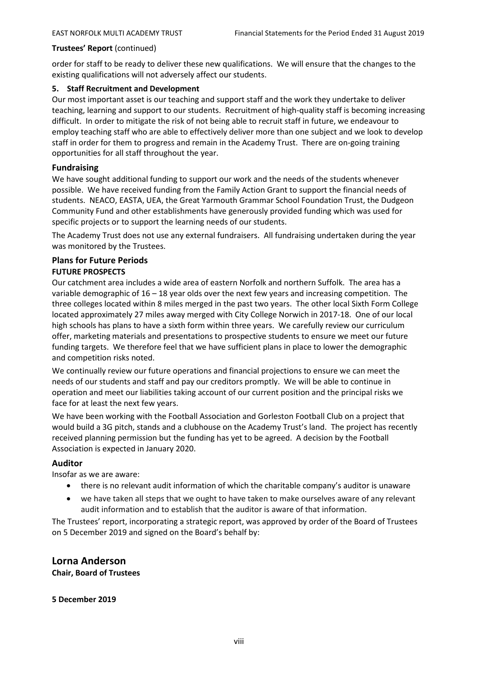order for staff to be ready to deliver these new qualifications. We will ensure that the changes to the existing qualifications will not adversely affect our students.

#### **5. Staff Recruitment and Development**

Our most important asset is our teaching and support staff and the work they undertake to deliver teaching, learning and support to our students. Recruitment of high-quality staff is becoming increasing difficult. In order to mitigate the risk of not being able to recruit staff in future, we endeavour to employ teaching staff who are able to effectively deliver more than one subject and we look to develop staff in order for them to progress and remain in the Academy Trust. There are on-going training opportunities for all staff throughout the year.

#### **Fundraising**

We have sought additional funding to support our work and the needs of the students whenever possible. We have received funding from the Family Action Grant to support the financial needs of students. NEACO, EASTA, UEA, the Great Yarmouth Grammar School Foundation Trust, the Dudgeon Community Fund and other establishments have generously provided funding which was used for specific projects or to support the learning needs of our students.

The Academy Trust does not use any external fundraisers. All fundraising undertaken during the year was monitored by the Trustees.

# **Plans for Future Periods**

#### **FUTURE PROSPECTS**

Our catchment area includes a wide area of eastern Norfolk and northern Suffolk. The area has a variable demographic of 16 – 18 year olds over the next few years and increasing competition. The three colleges located within 8 miles merged in the past two years. The other local Sixth Form College located approximately 27 miles away merged with City College Norwich in 2017-18. One of our local high schools has plans to have a sixth form within three years. We carefully review our curriculum offer, marketing materials and presentations to prospective students to ensure we meet our future funding targets. We therefore feel that we have sufficient plans in place to lower the demographic and competition risks noted.

We continually review our future operations and financial projections to ensure we can meet the needs of our students and staff and pay our creditors promptly. We will be able to continue in operation and meet our liabilities taking account of our current position and the principal risks we face for at least the next few years.

We have been working with the Football Association and Gorleston Football Club on a project that would build a 3G pitch, stands and a clubhouse on the Academy Trust's land. The project has recently received planning permission but the funding has yet to be agreed. A decision by the Football Association is expected in January 2020.

#### **Auditor**

Insofar as we are aware:

- there is no relevant audit information of which the charitable company's auditor is unaware
- we have taken all steps that we ought to have taken to make ourselves aware of any relevant audit information and to establish that the auditor is aware of that information.

The Trustees' report, incorporating a strategic report, was approved by order of the Board of Trustees on 5 December 2019 and signed on the Board's behalf by:

**Lorna Anderson Chair, Board of Trustees**

**5 December 2019**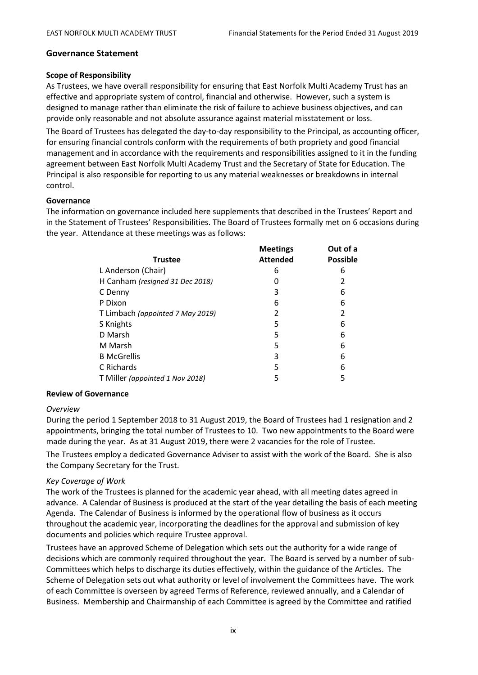#### **Governance Statement**

#### **Scope of Responsibility**

As Trustees, we have overall responsibility for ensuring that East Norfolk Multi Academy Trust has an effective and appropriate system of control, financial and otherwise. However, such a system is designed to manage rather than eliminate the risk of failure to achieve business objectives, and can provide only reasonable and not absolute assurance against material misstatement or loss.

The Board of Trustees has delegated the day-to-day responsibility to the Principal, as accounting officer, for ensuring financial controls conform with the requirements of both propriety and good financial management and in accordance with the requirements and responsibilities assigned to it in the funding agreement between East Norfolk Multi Academy Trust and the Secretary of State for Education. The Principal is also responsible for reporting to us any material weaknesses or breakdowns in internal control.

#### **Governance**

The information on governance included here supplements that described in the Trustees' Report and in the Statement of Trustees' Responsibilities. The Board of Trustees formally met on 6 occasions during the year. Attendance at these meetings was as follows:

| <b>Trustee</b>                   | <b>Meetings</b><br><b>Attended</b> | Out of a<br><b>Possible</b> |
|----------------------------------|------------------------------------|-----------------------------|
| L Anderson (Chair)               | 6                                  | 6                           |
| H Canham (resigned 31 Dec 2018)  |                                    | 2                           |
| C Denny                          | 3                                  | 6                           |
| P Dixon                          | 6                                  | 6                           |
| T Limbach (appointed 7 May 2019) | 2                                  | 2                           |
| S Knights                        | 5                                  | 6                           |
| D Marsh                          | 5                                  | 6                           |
| M Marsh                          | 5                                  | 6                           |
| <b>B</b> McGrellis               | 3                                  | 6                           |
| C Richards                       | 5                                  | 6                           |
| T Miller (appointed 1 Nov 2018)  | 5                                  | 5                           |
|                                  |                                    |                             |

#### **Review of Governance**

#### *Overview*

During the period 1 September 2018 to 31 August 2019, the Board of Trustees had 1 resignation and 2 appointments, bringing the total number of Trustees to 10. Two new appointments to the Board were made during the year. As at 31 August 2019, there were 2 vacancies for the role of Trustee.

The Trustees employ a dedicated Governance Adviser to assist with the work of the Board. She is also the Company Secretary for the Trust.

#### *Key Coverage of Work*

The work of the Trustees is planned for the academic year ahead, with all meeting dates agreed in advance. A Calendar of Business is produced at the start of the year detailing the basis of each meeting Agenda. The Calendar of Business is informed by the operational flow of business as it occurs throughout the academic year, incorporating the deadlines for the approval and submission of key documents and policies which require Trustee approval.

Trustees have an approved Scheme of Delegation which sets out the authority for a wide range of decisions which are commonly required throughout the year. The Board is served by a number of sub-Committees which helps to discharge its duties effectively, within the guidance of the Articles. The Scheme of Delegation sets out what authority or level of involvement the Committees have. The work of each Committee is overseen by agreed Terms of Reference, reviewed annually, and a Calendar of Business. Membership and Chairmanship of each Committee is agreed by the Committee and ratified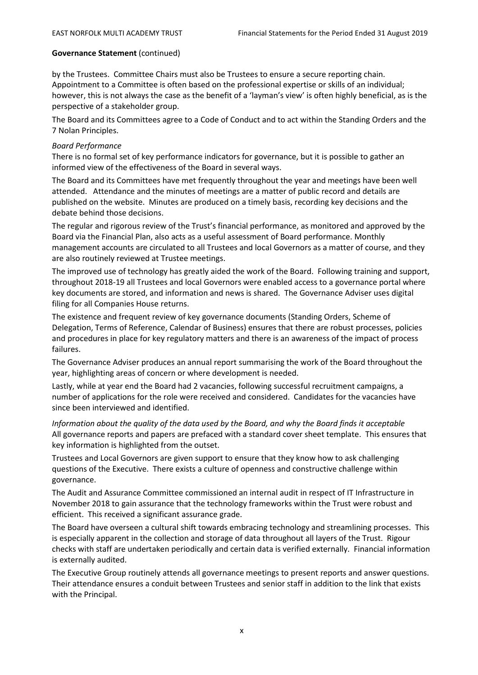by the Trustees. Committee Chairs must also be Trustees to ensure a secure reporting chain. Appointment to a Committee is often based on the professional expertise or skills of an individual; however, this is not always the case as the benefit of a 'layman's view' is often highly beneficial, as is the perspective of a stakeholder group.

The Board and its Committees agree to a Code of Conduct and to act within the Standing Orders and the 7 Nolan Principles.

### *Board Performance*

There is no formal set of key performance indicators for governance, but it is possible to gather an informed view of the effectiveness of the Board in several ways.

The Board and its Committees have met frequently throughout the year and meetings have been well attended. Attendance and the minutes of meetings are a matter of public record and details are published on the website. Minutes are produced on a timely basis, recording key decisions and the debate behind those decisions.

The regular and rigorous review of the Trust's financial performance, as monitored and approved by the Board via the Financial Plan, also acts as a useful assessment of Board performance. Monthly management accounts are circulated to all Trustees and local Governors as a matter of course, and they are also routinely reviewed at Trustee meetings.

The improved use of technology has greatly aided the work of the Board. Following training and support, throughout 2018-19 all Trustees and local Governors were enabled access to a governance portal where key documents are stored, and information and news is shared. The Governance Adviser uses digital filing for all Companies House returns.

The existence and frequent review of key governance documents (Standing Orders, Scheme of Delegation, Terms of Reference, Calendar of Business) ensures that there are robust processes, policies and procedures in place for key regulatory matters and there is an awareness of the impact of process failures.

The Governance Adviser produces an annual report summarising the work of the Board throughout the year, highlighting areas of concern or where development is needed.

Lastly, while at year end the Board had 2 vacancies, following successful recruitment campaigns, a number of applications for the role were received and considered. Candidates for the vacancies have since been interviewed and identified.

*Information about the quality of the data used by the Board, and why the Board finds it acceptable* All governance reports and papers are prefaced with a standard cover sheet template. This ensures that key information is highlighted from the outset.

Trustees and Local Governors are given support to ensure that they know how to ask challenging questions of the Executive. There exists a culture of openness and constructive challenge within governance.

The Audit and Assurance Committee commissioned an internal audit in respect of IT Infrastructure in November 2018 to gain assurance that the technology frameworks within the Trust were robust and efficient. This received a significant assurance grade.

The Board have overseen a cultural shift towards embracing technology and streamlining processes. This is especially apparent in the collection and storage of data throughout all layers of the Trust. Rigour checks with staff are undertaken periodically and certain data is verified externally. Financial information is externally audited.

The Executive Group routinely attends all governance meetings to present reports and answer questions. Their attendance ensures a conduit between Trustees and senior staff in addition to the link that exists with the Principal.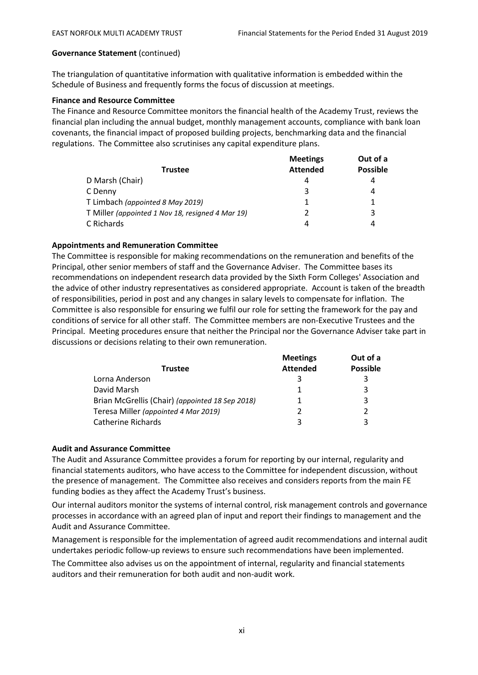The triangulation of quantitative information with qualitative information is embedded within the Schedule of Business and frequently forms the focus of discussion at meetings.

# **Finance and Resource Committee**

The Finance and Resource Committee monitors the financial health of the Academy Trust, reviews the financial plan including the annual budget, monthly management accounts, compliance with bank loan covenants, the financial impact of proposed building projects, benchmarking data and the financial regulations. The Committee also scrutinises any capital expenditure plans.

|                                                  | <b>Meetings</b> | Out of a        |
|--------------------------------------------------|-----------------|-----------------|
| Trustee                                          | <b>Attended</b> | <b>Possible</b> |
| D Marsh (Chair)                                  | 4               | 4               |
| C Denny                                          | 3               | 4               |
| T Limbach (appointed 8 May 2019)                 |                 |                 |
| T Miller (appointed 1 Nov 18, resigned 4 Mar 19) |                 | 3               |
| C Richards                                       | 4               | 4               |

# **Appointments and Remuneration Committee**

The Committee is responsible for making recommendations on the remuneration and benefits of the Principal, other senior members of staff and the Governance Adviser. The Committee bases its recommendations on independent research data provided by the Sixth Form Colleges' Association and the advice of other industry representatives as considered appropriate. Account is taken of the breadth of responsibilities, period in post and any changes in salary levels to compensate for inflation. The Committee is also responsible for ensuring we fulfil our role for setting the framework for the pay and conditions of service for all other staff. The Committee members are non-Executive Trustees and the Principal. Meeting procedures ensure that neither the Principal nor the Governance Adviser take part in discussions or decisions relating to their own remuneration.

|                                                 | <b>Meetings</b> | Out of a        |
|-------------------------------------------------|-----------------|-----------------|
| <b>Trustee</b>                                  | <b>Attended</b> | <b>Possible</b> |
| Lorna Anderson                                  |                 | 3               |
| David Marsh                                     |                 | 3               |
| Brian McGrellis (Chair) (appointed 18 Sep 2018) |                 | 3               |
| Teresa Miller (appointed 4 Mar 2019)            |                 | 2               |
| <b>Catherine Richards</b>                       |                 | 3               |

# **Audit and Assurance Committee**

The Audit and Assurance Committee provides a forum for reporting by our internal, regularity and financial statements auditors, who have access to the Committee for independent discussion, without the presence of management. The Committee also receives and considers reports from the main FE funding bodies as they affect the Academy Trust's business.

Our internal auditors monitor the systems of internal control, risk management controls and governance processes in accordance with an agreed plan of input and report their findings to management and the Audit and Assurance Committee.

Management is responsible for the implementation of agreed audit recommendations and internal audit undertakes periodic follow-up reviews to ensure such recommendations have been implemented.

The Committee also advises us on the appointment of internal, regularity and financial statements auditors and their remuneration for both audit and non-audit work.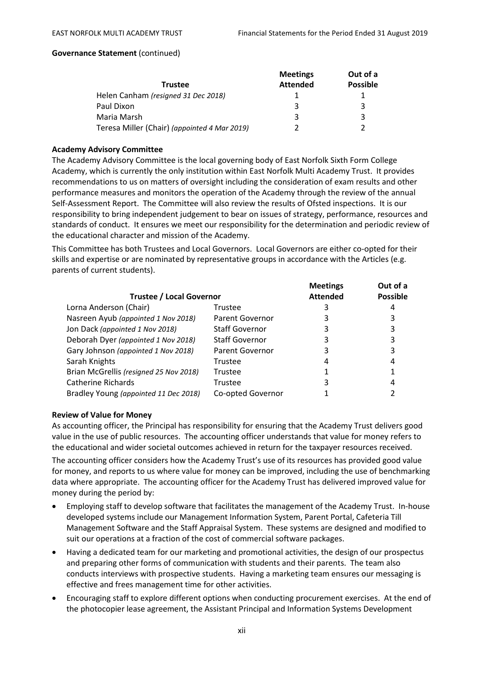|                                              | <b>Meetings</b> | Out of a        |  |
|----------------------------------------------|-----------------|-----------------|--|
| <b>Trustee</b>                               | <b>Attended</b> | <b>Possible</b> |  |
| Helen Canham (resigned 31 Dec 2018)          |                 |                 |  |
| Paul Dixon                                   | 3               | 3               |  |
| Maria Marsh                                  | 3               | 3               |  |
| Teresa Miller (Chair) (appointed 4 Mar 2019) |                 |                 |  |

#### **Academy Advisory Committee**

The Academy Advisory Committee is the local governing body of East Norfolk Sixth Form College Academy, which is currently the only institution within East Norfolk Multi Academy Trust. It provides recommendations to us on matters of oversight including the consideration of exam results and other performance measures and monitors the operation of the Academy through the review of the annual Self-Assessment Report. The Committee will also review the results of Ofsted inspections. It is our responsibility to bring independent judgement to bear on issues of strategy, performance, resources and standards of conduct. It ensures we meet our responsibility for the determination and periodic review of the educational character and mission of the Academy.

This Committee has both Trustees and Local Governors. Local Governors are either co-opted for their skills and expertise or are nominated by representative groups in accordance with the Articles (e.g. parents of current students).

|                                        |                        | <b>Meetings</b> | Out of a        |
|----------------------------------------|------------------------|-----------------|-----------------|
| <b>Trustee / Local Governor</b>        |                        | <b>Attended</b> | <b>Possible</b> |
| Lorna Anderson (Chair)                 | Trustee                |                 |                 |
| Nasreen Ayub (appointed 1 Nov 2018)    | <b>Parent Governor</b> | 3               |                 |
| Jon Dack (appointed 1 Nov 2018)        | <b>Staff Governor</b>  | 3               |                 |
| Deborah Dyer (appointed 1 Nov 2018)    | <b>Staff Governor</b>  | 3               |                 |
| Gary Johnson (appointed 1 Nov 2018)    | Parent Governor        | 3               |                 |
| Sarah Knights                          | Trustee                | 4               | 4               |
| Brian McGrellis (resigned 25 Nov 2018) | Trustee                |                 |                 |
| Catherine Richards                     | Trustee                | 3               | 4               |
| Bradley Young (appointed 11 Dec 2018)  | Co-opted Governor      |                 |                 |

#### **Review of Value for Money**

As accounting officer, the Principal has responsibility for ensuring that the Academy Trust delivers good value in the use of public resources. The accounting officer understands that value for money refers to the educational and wider societal outcomes achieved in return for the taxpayer resources received.

The accounting officer considers how the Academy Trust's use of its resources has provided good value for money, and reports to us where value for money can be improved, including the use of benchmarking data where appropriate. The accounting officer for the Academy Trust has delivered improved value for money during the period by:

- Employing staff to develop software that facilitates the management of the Academy Trust. In-house developed systems include our Management Information System, Parent Portal, Cafeteria Till Management Software and the Staff Appraisal System. These systems are designed and modified to suit our operations at a fraction of the cost of commercial software packages.
- Having a dedicated team for our marketing and promotional activities, the design of our prospectus and preparing other forms of communication with students and their parents. The team also conducts interviews with prospective students. Having a marketing team ensures our messaging is effective and frees management time for other activities.
- Encouraging staff to explore different options when conducting procurement exercises. At the end of the photocopier lease agreement, the Assistant Principal and Information Systems Development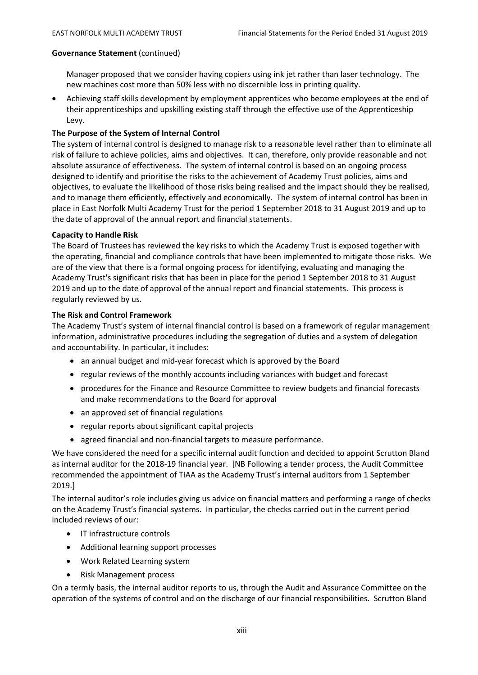Manager proposed that we consider having copiers using ink jet rather than laser technology. The new machines cost more than 50% less with no discernible loss in printing quality.

• Achieving staff skills development by employment apprentices who become employees at the end of their apprenticeships and upskilling existing staff through the effective use of the Apprenticeship Levy.

# **The Purpose of the System of Internal Control**

The system of internal control is designed to manage risk to a reasonable level rather than to eliminate all risk of failure to achieve policies, aims and objectives. It can, therefore, only provide reasonable and not absolute assurance of effectiveness. The system of internal control is based on an ongoing process designed to identify and prioritise the risks to the achievement of Academy Trust policies, aims and objectives, to evaluate the likelihood of those risks being realised and the impact should they be realised, and to manage them efficiently, effectively and economically. The system of internal control has been in place in East Norfolk Multi Academy Trust for the period 1 September 2018 to 31 August 2019 and up to the date of approval of the annual report and financial statements.

# **Capacity to Handle Risk**

The Board of Trustees has reviewed the key risks to which the Academy Trust is exposed together with the operating, financial and compliance controls that have been implemented to mitigate those risks. We are of the view that there is a formal ongoing process for identifying, evaluating and managing the Academy Trust's significant risks that has been in place for the period 1 September 2018 to 31 August 2019 and up to the date of approval of the annual report and financial statements. This process is regularly reviewed by us.

# **The Risk and Control Framework**

The Academy Trust's system of internal financial control is based on a framework of regular management information, administrative procedures including the segregation of duties and a system of delegation and accountability. In particular, it includes:

- an annual budget and mid-year forecast which is approved by the Board
- regular reviews of the monthly accounts including variances with budget and forecast
- procedures for the Finance and Resource Committee to review budgets and financial forecasts and make recommendations to the Board for approval
- an approved set of financial regulations
- regular reports about significant capital projects
- agreed financial and non-financial targets to measure performance.

We have considered the need for a specific internal audit function and decided to appoint Scrutton Bland as internal auditor for the 2018-19 financial year. [NB Following a tender process, the Audit Committee recommended the appointment of TIAA as the Academy Trust's internal auditors from 1 September 2019.]

The internal auditor's role includes giving us advice on financial matters and performing a range of checks on the Academy Trust's financial systems. In particular, the checks carried out in the current period included reviews of our:

- IT infrastructure controls
- Additional learning support processes
- Work Related Learning system
- Risk Management process

On a termly basis, the internal auditor reports to us, through the Audit and Assurance Committee on the operation of the systems of control and on the discharge of our financial responsibilities. Scrutton Bland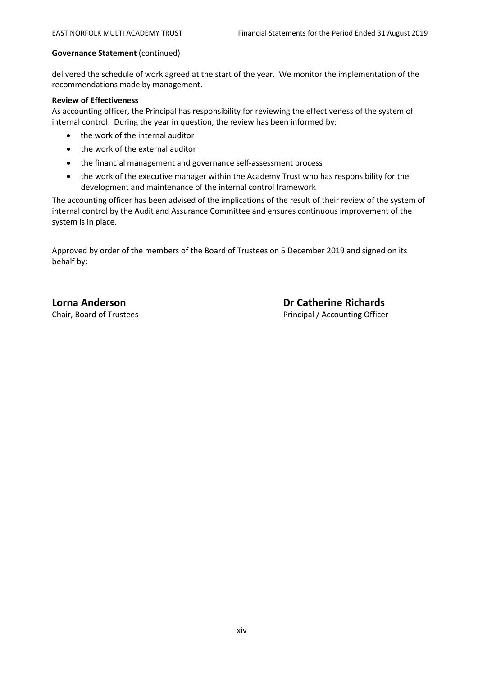delivered the schedule of work agreed at the start of the year. We monitor the implementation of the recommendations made by management.

#### **Review of Effectiveness**

As accounting officer, the Principal has responsibility for reviewing the effectiveness of the system of internal control. During the year in question, the review has been informed by:

- the work of the internal auditor
- the work of the external auditor
- the financial management and governance self-assessment process
- the work of the executive manager within the Academy Trust who has responsibility for the development and maintenance of the internal control framework

The accounting officer has been advised of the implications of the result of their review of the system of internal control by the Audit and Assurance Committee and ensures continuous improvement of the system is in place.

Approved by order of the members of the Board of Trustees on 5 December 2019 and signed on its behalf by:

Chair, Board of Trustees Principal / Accounting Officer

**Lorna Anderson Dr Catherine Richards**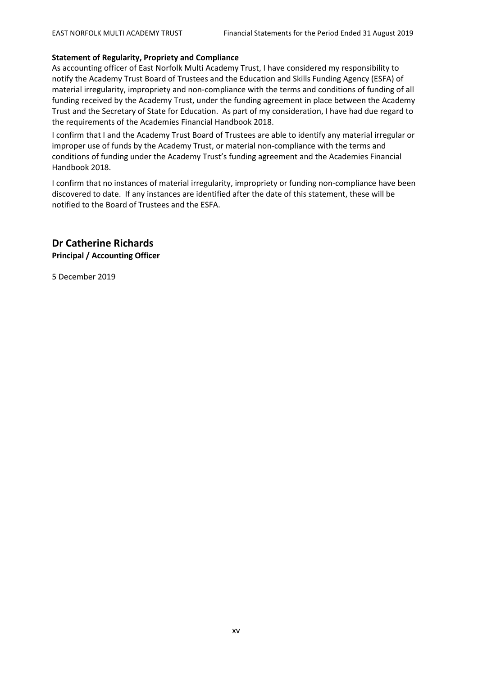#### **Statement of Regularity, Propriety and Compliance**

As accounting officer of East Norfolk Multi Academy Trust, I have considered my responsibility to notify the Academy Trust Board of Trustees and the Education and Skills Funding Agency (ESFA) of material irregularity, impropriety and non-compliance with the terms and conditions of funding of all funding received by the Academy Trust, under the funding agreement in place between the Academy Trust and the Secretary of State for Education. As part of my consideration, I have had due regard to the requirements of the Academies Financial Handbook 2018.

I confirm that I and the Academy Trust Board of Trustees are able to identify any material irregular or improper use of funds by the Academy Trust, or material non-compliance with the terms and conditions of funding under the Academy Trust's funding agreement and the Academies Financial Handbook 2018.

I confirm that no instances of material irregularity, impropriety or funding non-compliance have been discovered to date. If any instances are identified after the date of this statement, these will be notified to the Board of Trustees and the ESFA.

**Dr Catherine Richards Principal / Accounting Officer**

5 December 2019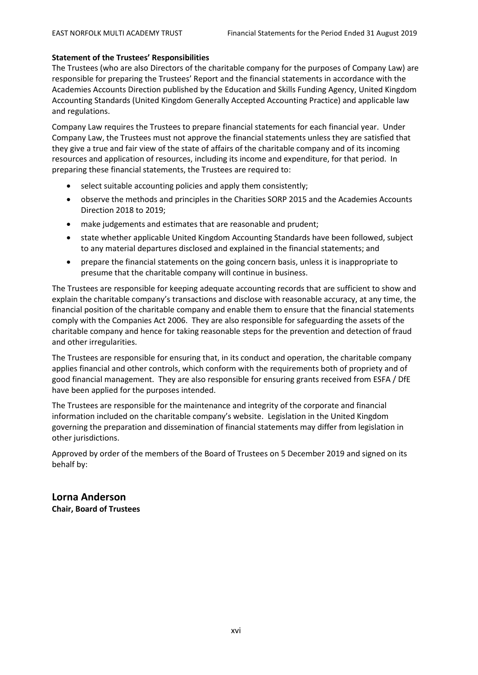### **Statement of the Trustees' Responsibilities**

The Trustees (who are also Directors of the charitable company for the purposes of Company Law) are responsible for preparing the Trustees' Report and the financial statements in accordance with the Academies Accounts Direction published by the Education and Skills Funding Agency, United Kingdom Accounting Standards (United Kingdom Generally Accepted Accounting Practice) and applicable law and regulations.

Company Law requires the Trustees to prepare financial statements for each financial year. Under Company Law, the Trustees must not approve the financial statements unless they are satisfied that they give a true and fair view of the state of affairs of the charitable company and of its incoming resources and application of resources, including its income and expenditure, for that period. In preparing these financial statements, the Trustees are required to:

- select suitable accounting policies and apply them consistently;
- observe the methods and principles in the Charities SORP 2015 and the Academies Accounts Direction 2018 to 2019;
- make judgements and estimates that are reasonable and prudent;
- state whether applicable United Kingdom Accounting Standards have been followed, subject to any material departures disclosed and explained in the financial statements; and
- prepare the financial statements on the going concern basis, unless it is inappropriate to presume that the charitable company will continue in business.

The Trustees are responsible for keeping adequate accounting records that are sufficient to show and explain the charitable company's transactions and disclose with reasonable accuracy, at any time, the financial position of the charitable company and enable them to ensure that the financial statements comply with the Companies Act 2006. They are also responsible for safeguarding the assets of the charitable company and hence for taking reasonable steps for the prevention and detection of fraud and other irregularities.

The Trustees are responsible for ensuring that, in its conduct and operation, the charitable company applies financial and other controls, which conform with the requirements both of propriety and of good financial management. They are also responsible for ensuring grants received from ESFA / DfE have been applied for the purposes intended.

The Trustees are responsible for the maintenance and integrity of the corporate and financial information included on the charitable company's website. Legislation in the United Kingdom governing the preparation and dissemination of financial statements may differ from legislation in other jurisdictions.

Approved by order of the members of the Board of Trustees on 5 December 2019 and signed on its behalf by:

# **Lorna Anderson Chair, Board of Trustees**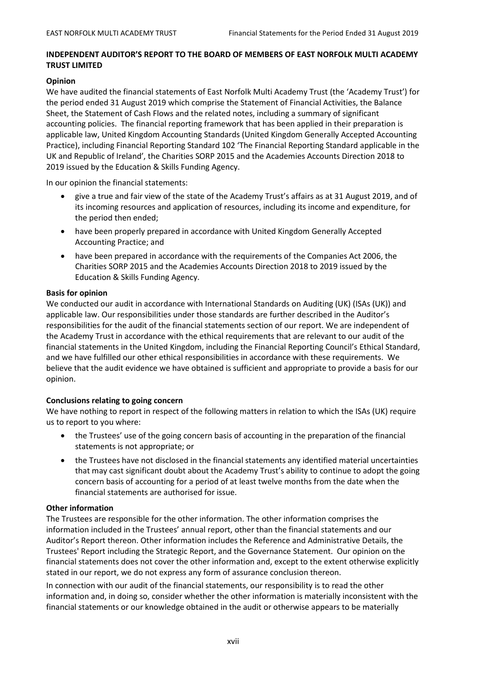# **INDEPENDENT AUDITOR'S REPORT TO THE BOARD OF MEMBERS OF EAST NORFOLK MULTI ACADEMY TRUST LIMITED**

#### **Opinion**

We have audited the financial statements of East Norfolk Multi Academy Trust (the 'Academy Trust') for the period ended 31 August 2019 which comprise the Statement of Financial Activities, the Balance Sheet, the Statement of Cash Flows and the related notes, including a summary of significant accounting policies. The financial reporting framework that has been applied in their preparation is applicable law, United Kingdom Accounting Standards (United Kingdom Generally Accepted Accounting Practice), including Financial Reporting Standard 102 'The Financial Reporting Standard applicable in the UK and Republic of Ireland', the Charities SORP 2015 and the Academies Accounts Direction 2018 to 2019 issued by the Education & Skills Funding Agency.

In our opinion the financial statements:

- give a true and fair view of the state of the Academy Trust's affairs as at 31 August 2019, and of its incoming resources and application of resources, including its income and expenditure, for the period then ended;
- have been properly prepared in accordance with United Kingdom Generally Accepted Accounting Practice; and
- have been prepared in accordance with the requirements of the Companies Act 2006, the Charities SORP 2015 and the Academies Accounts Direction 2018 to 2019 issued by the Education & Skills Funding Agency.

#### **Basis for opinion**

We conducted our audit in accordance with International Standards on Auditing (UK) (ISAs (UK)) and applicable law. Our responsibilities under those standards are further described in the Auditor's responsibilities for the audit of the financial statements section of our report. We are independent of the Academy Trust in accordance with the ethical requirements that are relevant to our audit of the financial statements in the United Kingdom, including the Financial Reporting Council's Ethical Standard, and we have fulfilled our other ethical responsibilities in accordance with these requirements. We believe that the audit evidence we have obtained is sufficient and appropriate to provide a basis for our opinion.

# **Conclusions relating to going concern**

We have nothing to report in respect of the following matters in relation to which the ISAs (UK) require us to report to you where:

- the Trustees' use of the going concern basis of accounting in the preparation of the financial statements is not appropriate; or
- the Trustees have not disclosed in the financial statements any identified material uncertainties that may cast significant doubt about the Academy Trust's ability to continue to adopt the going concern basis of accounting for a period of at least twelve months from the date when the financial statements are authorised for issue.

# **Other information**

The Trustees are responsible for the other information. The other information comprises the information included in the Trustees' annual report, other than the financial statements and our Auditor's Report thereon. Other information includes the Reference and Administrative Details, the Trustees' Report including the Strategic Report, and the Governance Statement. Our opinion on the financial statements does not cover the other information and, except to the extent otherwise explicitly stated in our report, we do not express any form of assurance conclusion thereon.

In connection with our audit of the financial statements, our responsibility is to read the other information and, in doing so, consider whether the other information is materially inconsistent with the financial statements or our knowledge obtained in the audit or otherwise appears to be materially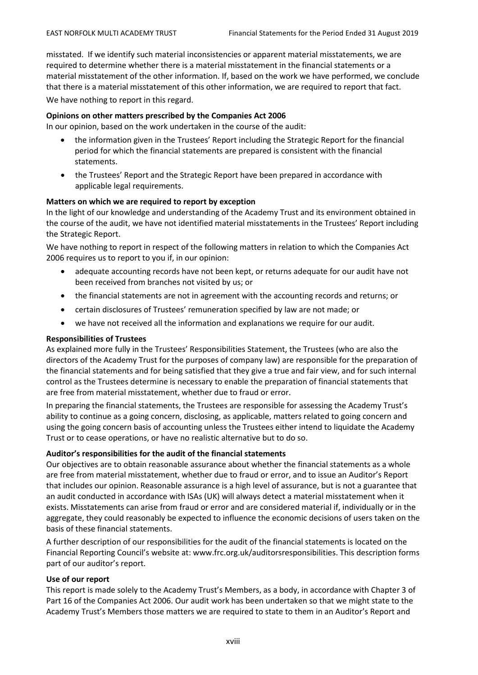misstated. If we identify such material inconsistencies or apparent material misstatements, we are required to determine whether there is a material misstatement in the financial statements or a material misstatement of the other information. If, based on the work we have performed, we conclude that there is a material misstatement of this other information, we are required to report that fact.

We have nothing to report in this regard.

### **Opinions on other matters prescribed by the Companies Act 2006**

In our opinion, based on the work undertaken in the course of the audit:

- the information given in the Trustees' Report including the Strategic Report for the financial period for which the financial statements are prepared is consistent with the financial statements.
- the Trustees' Report and the Strategic Report have been prepared in accordance with applicable legal requirements.

#### **Matters on which we are required to report by exception**

In the light of our knowledge and understanding of the Academy Trust and its environment obtained in the course of the audit, we have not identified material misstatements in the Trustees' Report including the Strategic Report.

We have nothing to report in respect of the following matters in relation to which the Companies Act 2006 requires us to report to you if, in our opinion:

- adequate accounting records have not been kept, or returns adequate for our audit have not been received from branches not visited by us; or
- the financial statements are not in agreement with the accounting records and returns; or
- certain disclosures of Trustees' remuneration specified by law are not made; or
- we have not received all the information and explanations we require for our audit.

#### **Responsibilities of Trustees**

As explained more fully in the Trustees' Responsibilities Statement, the Trustees (who are also the directors of the Academy Trust for the purposes of company law) are responsible for the preparation of the financial statements and for being satisfied that they give a true and fair view, and for such internal control as the Trustees determine is necessary to enable the preparation of financial statements that are free from material misstatement, whether due to fraud or error.

In preparing the financial statements, the Trustees are responsible for assessing the Academy Trust's ability to continue as a going concern, disclosing, as applicable, matters related to going concern and using the going concern basis of accounting unless the Trustees either intend to liquidate the Academy Trust or to cease operations, or have no realistic alternative but to do so.

# **Auditor's responsibilities for the audit of the financial statements**

Our objectives are to obtain reasonable assurance about whether the financial statements as a whole are free from material misstatement, whether due to fraud or error, and to issue an Auditor's Report that includes our opinion. Reasonable assurance is a high level of assurance, but is not a guarantee that an audit conducted in accordance with ISAs (UK) will always detect a material misstatement when it exists. Misstatements can arise from fraud or error and are considered material if, individually or in the aggregate, they could reasonably be expected to influence the economic decisions of users taken on the basis of these financial statements.

A further description of our responsibilities for the audit of the financial statements is located on the Financial Reporting Council's website at: www.frc.org.uk/auditorsresponsibilities. This description forms part of our auditor's report.

# **Use of our report**

This report is made solely to the Academy Trust's Members, as a body, in accordance with Chapter 3 of Part 16 of the Companies Act 2006. Our audit work has been undertaken so that we might state to the Academy Trust's Members those matters we are required to state to them in an Auditor's Report and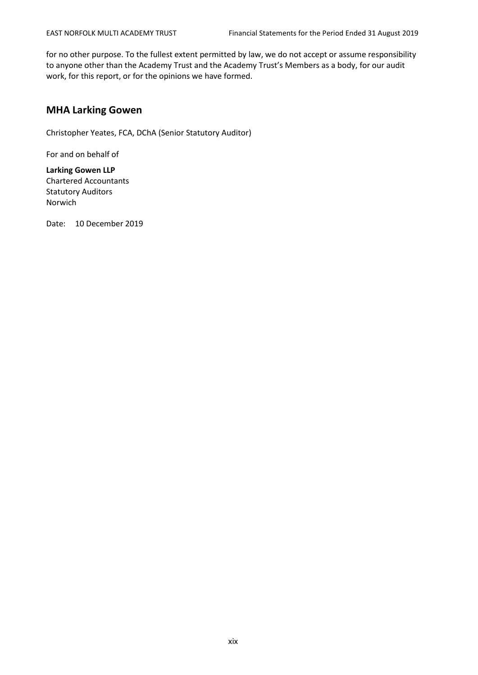for no other purpose. To the fullest extent permitted by law, we do not accept or assume responsibility to anyone other than the Academy Trust and the Academy Trust's Members as a body, for our audit work, for this report, or for the opinions we have formed.

# **MHA Larking Gowen**

Christopher Yeates, FCA, DChA (Senior Statutory Auditor)

For and on behalf of

**Larking Gowen LLP** Chartered Accountants Statutory Auditors Norwich

Date: 10 December 2019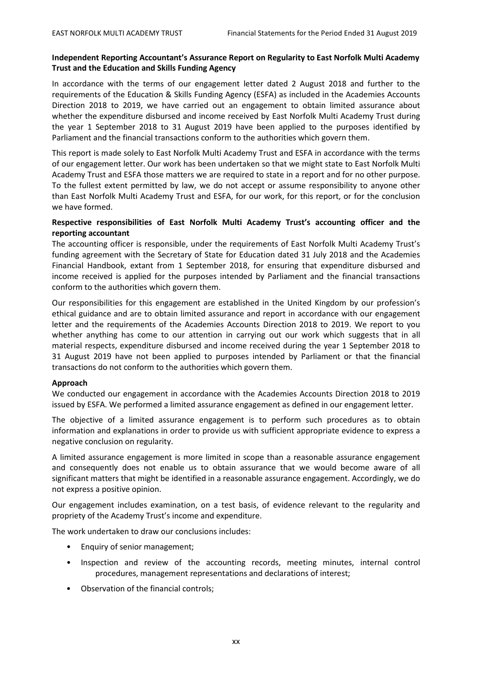# **Independent Reporting Accountant's Assurance Report on Regularity to East Norfolk Multi Academy Trust and the Education and Skills Funding Agency**

In accordance with the terms of our engagement letter dated 2 August 2018 and further to the requirements of the Education & Skills Funding Agency (ESFA) as included in the Academies Accounts Direction 2018 to 2019, we have carried out an engagement to obtain limited assurance about whether the expenditure disbursed and income received by East Norfolk Multi Academy Trust during the year 1 September 2018 to 31 August 2019 have been applied to the purposes identified by Parliament and the financial transactions conform to the authorities which govern them.

This report is made solely to East Norfolk Multi Academy Trust and ESFA in accordance with the terms of our engagement letter. Our work has been undertaken so that we might state to East Norfolk Multi Academy Trust and ESFA those matters we are required to state in a report and for no other purpose. To the fullest extent permitted by law, we do not accept or assume responsibility to anyone other than East Norfolk Multi Academy Trust and ESFA, for our work, for this report, or for the conclusion we have formed.

# **Respective responsibilities of East Norfolk Multi Academy Trust's accounting officer and the reporting accountant**

The accounting officer is responsible, under the requirements of East Norfolk Multi Academy Trust's funding agreement with the Secretary of State for Education dated 31 July 2018 and the Academies Financial Handbook, extant from 1 September 2018, for ensuring that expenditure disbursed and income received is applied for the purposes intended by Parliament and the financial transactions conform to the authorities which govern them.

Our responsibilities for this engagement are established in the United Kingdom by our profession's ethical guidance and are to obtain limited assurance and report in accordance with our engagement letter and the requirements of the Academies Accounts Direction 2018 to 2019. We report to you whether anything has come to our attention in carrying out our work which suggests that in all material respects, expenditure disbursed and income received during the year 1 September 2018 to 31 August 2019 have not been applied to purposes intended by Parliament or that the financial transactions do not conform to the authorities which govern them.

#### **Approach**

We conducted our engagement in accordance with the Academies Accounts Direction 2018 to 2019 issued by ESFA. We performed a limited assurance engagement as defined in our engagement letter.

The objective of a limited assurance engagement is to perform such procedures as to obtain information and explanations in order to provide us with sufficient appropriate evidence to express a negative conclusion on regularity.

A limited assurance engagement is more limited in scope than a reasonable assurance engagement and consequently does not enable us to obtain assurance that we would become aware of all significant matters that might be identified in a reasonable assurance engagement. Accordingly, we do not express a positive opinion.

Our engagement includes examination, on a test basis, of evidence relevant to the regularity and propriety of the Academy Trust's income and expenditure.

The work undertaken to draw our conclusions includes:

- Enquiry of senior management;
- Inspection and review of the accounting records, meeting minutes, internal control procedures, management representations and declarations of interest;
- Observation of the financial controls;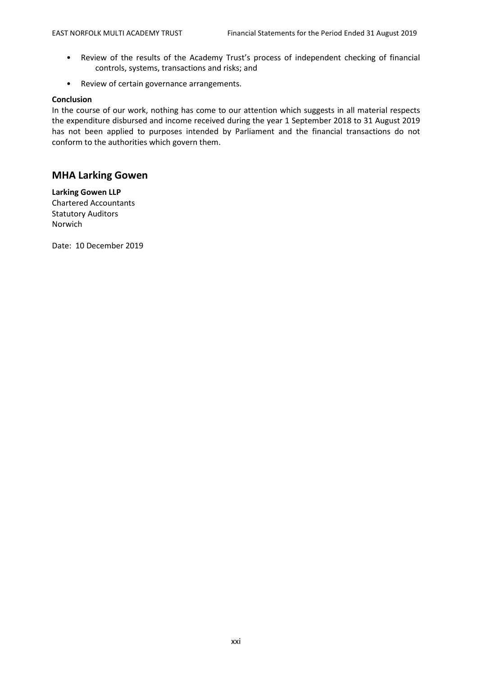- Review of the results of the Academy Trust's process of independent checking of financial controls, systems, transactions and risks; and
- Review of certain governance arrangements.

#### **Conclusion**

In the course of our work, nothing has come to our attention which suggests in all material respects the expenditure disbursed and income received during the year 1 September 2018 to 31 August 2019 has not been applied to purposes intended by Parliament and the financial transactions do not conform to the authorities which govern them.

# **MHA Larking Gowen**

**Larking Gowen LLP** Chartered Accountants Statutory Auditors Norwich

Date: 10 December 2019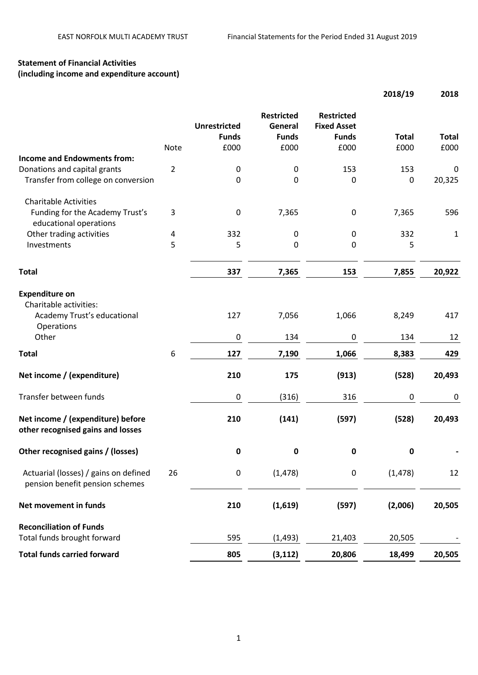# **Statement of Financial Activities (including income and expenditure account)**

|                                                                          |                |                                     |                                              |                                                         | 2018/19      | 2018         |
|--------------------------------------------------------------------------|----------------|-------------------------------------|----------------------------------------------|---------------------------------------------------------|--------------|--------------|
|                                                                          |                | <b>Unrestricted</b><br><b>Funds</b> | <b>Restricted</b><br>General<br><b>Funds</b> | <b>Restricted</b><br><b>Fixed Asset</b><br><b>Funds</b> | <b>Total</b> | <b>Total</b> |
| <b>Income and Endowments from:</b>                                       | Note           | £000                                | £000                                         | £000                                                    | £000         | £000         |
| Donations and capital grants                                             | $\overline{2}$ | $\pmb{0}$                           | $\pmb{0}$                                    | 153                                                     | 153          | $\mathbf 0$  |
| Transfer from college on conversion                                      |                | $\mathbf 0$                         | 0                                            | $\mathbf 0$                                             | 0            | 20,325       |
| <b>Charitable Activities</b>                                             |                |                                     |                                              |                                                         |              |              |
| Funding for the Academy Trust's<br>educational operations                | 3              | $\pmb{0}$                           | 7,365                                        | 0                                                       | 7,365        | 596          |
| Other trading activities                                                 | 4              | 332                                 | $\mathbf 0$                                  | $\mathbf 0$                                             | 332          | 1            |
| Investments                                                              | 5              | 5                                   | 0                                            | 0                                                       | 5            |              |
| <b>Total</b>                                                             |                | 337                                 | 7,365                                        | 153                                                     | 7,855        | 20,922       |
|                                                                          |                |                                     |                                              |                                                         |              |              |
| <b>Expenditure on</b><br>Charitable activities:                          |                |                                     |                                              |                                                         |              |              |
| Academy Trust's educational<br>Operations                                |                | 127                                 | 7,056                                        | 1,066                                                   | 8,249        | 417          |
| Other                                                                    |                | $\pmb{0}$                           | 134                                          | $\boldsymbol{0}$                                        | 134          | 12           |
| <b>Total</b>                                                             | 6              | 127                                 | 7,190                                        | 1,066                                                   | 8,383        | 429          |
| Net income / (expenditure)                                               |                | 210                                 | 175                                          | (913)                                                   | (528)        | 20,493       |
| Transfer between funds                                                   |                | $\pmb{0}$                           | (316)                                        | 316                                                     | $\pmb{0}$    | 0            |
| Net income / (expenditure) before<br>other recognised gains and losses   |                | 210                                 | (141)                                        | (597)                                                   | (528)        | 20,493       |
| Other recognised gains / (losses)                                        |                | $\pmb{0}$                           | $\pmb{0}$                                    | $\pmb{0}$                                               | $\pmb{0}$    |              |
| Actuarial (losses) / gains on defined<br>pension benefit pension schemes | 26             | $\pmb{0}$                           | (1, 478)                                     | $\pmb{0}$                                               | (1, 478)     | 12           |
| Net movement in funds                                                    |                | 210                                 | (1,619)                                      | (597)                                                   | (2,006)      | 20,505       |
| <b>Reconciliation of Funds</b>                                           |                |                                     |                                              |                                                         |              |              |
| Total funds brought forward                                              |                | 595                                 | (1, 493)                                     | 21,403                                                  | 20,505       |              |
| <b>Total funds carried forward</b>                                       |                | 805                                 | (3, 112)                                     | 20,806                                                  | 18,499       | 20,505       |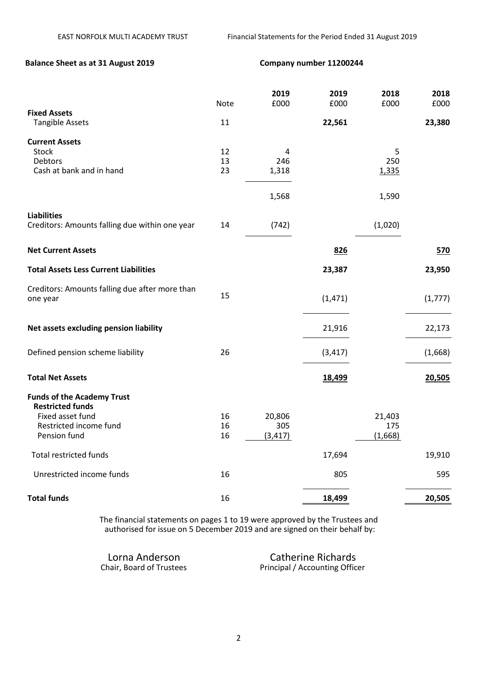# **Balance Sheet as at 31 August 2019 Company number 11200244**

|                                                              | Note     | 2019<br>£000 | 2019<br>£000 | 2018<br>£000 | 2018<br>£000 |
|--------------------------------------------------------------|----------|--------------|--------------|--------------|--------------|
| <b>Fixed Assets</b><br><b>Tangible Assets</b>                | 11       |              | 22,561       |              | 23,380       |
| <b>Current Assets</b>                                        |          |              |              |              |              |
| Stock                                                        | 12       | 4            |              | 5            |              |
| Debtors<br>Cash at bank and in hand                          | 13<br>23 | 246<br>1,318 |              | 250<br>1,335 |              |
|                                                              |          |              |              |              |              |
|                                                              |          | 1,568        |              | 1,590        |              |
| <b>Liabilities</b>                                           |          |              |              |              |              |
| Creditors: Amounts falling due within one year               | 14       | (742)        |              | (1,020)      |              |
| <b>Net Current Assets</b>                                    |          |              | 826          |              | 570          |
| <b>Total Assets Less Current Liabilities</b>                 |          |              | 23,387       |              | 23,950       |
| Creditors: Amounts falling due after more than               |          |              |              |              |              |
| one year                                                     | 15       |              | (1,471)      |              | (1, 777)     |
| Net assets excluding pension liability                       |          |              | 21,916       |              | 22,173       |
|                                                              |          |              |              |              |              |
| Defined pension scheme liability                             | 26       |              | (3, 417)     |              | (1,668)      |
| <b>Total Net Assets</b>                                      |          |              | 18,499       |              | 20,505       |
| <b>Funds of the Academy Trust</b><br><b>Restricted funds</b> |          |              |              |              |              |
| Fixed asset fund                                             | 16       | 20,806       |              | 21,403       |              |
| Restricted income fund                                       | 16       | 305          |              | 175          |              |
| Pension fund                                                 | 16       | (3, 417)     |              | (1,668)      |              |
| <b>Total restricted funds</b>                                |          |              | 17,694       |              | 19,910       |
| Unrestricted income funds                                    | 16       |              | 805          |              | 595          |
| <b>Total funds</b>                                           | 16       |              | 18,499       |              | 20,505       |

The financial statements on pages 1 to 19 were approved by the Trustees and authorised for issue on 5 December 2019 and are signed on their behalf by:

Lorna Anderson Catherine Richards<br>
Chair, Board of Trustees Principal / Accounting Officer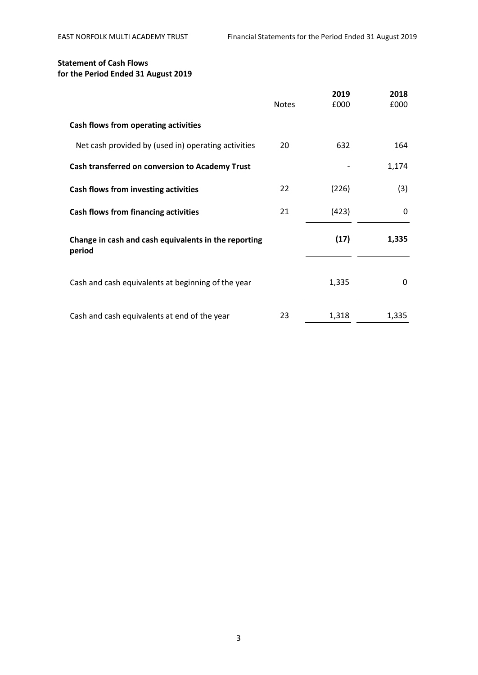# **Statement of Cash Flows for the Period Ended 31 August 2019**

|                                                                | <b>Notes</b> | 2019<br>£000 | 2018<br>£000 |
|----------------------------------------------------------------|--------------|--------------|--------------|
| Cash flows from operating activities                           |              |              |              |
| Net cash provided by (used in) operating activities            | 20           | 632          | 164          |
| Cash transferred on conversion to Academy Trust                |              |              | 1,174        |
| Cash flows from investing activities                           | 22           | (226)        | (3)          |
| Cash flows from financing activities                           | 21           | (423)        | 0            |
| Change in cash and cash equivalents in the reporting<br>period |              | (17)         | 1,335        |
| Cash and cash equivalents at beginning of the year             |              | 1,335        | 0            |
| Cash and cash equivalents at end of the year                   | 23           | 1,318        | 1,335        |

3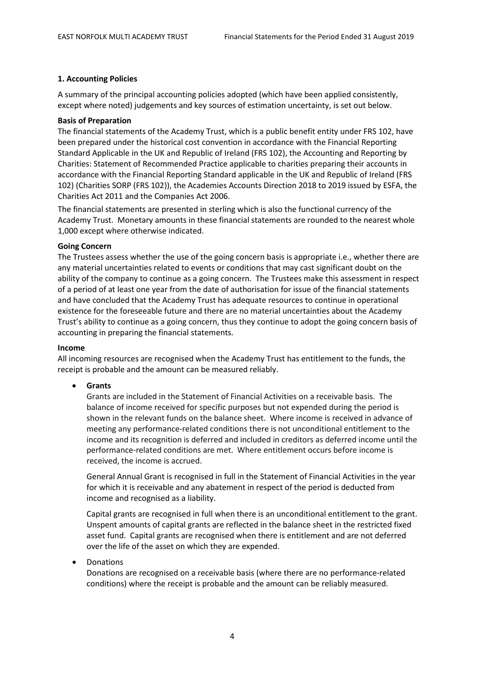#### **1. Accounting Policies**

A summary of the principal accounting policies adopted (which have been applied consistently, except where noted) judgements and key sources of estimation uncertainty, is set out below.

#### **Basis of Preparation**

The financial statements of the Academy Trust, which is a public benefit entity under FRS 102, have been prepared under the historical cost convention in accordance with the Financial Reporting Standard Applicable in the UK and Republic of Ireland (FRS 102), the Accounting and Reporting by Charities: Statement of Recommended Practice applicable to charities preparing their accounts in accordance with the Financial Reporting Standard applicable in the UK and Republic of Ireland (FRS 102) (Charities SORP (FRS 102)), the Academies Accounts Direction 2018 to 2019 issued by ESFA, the Charities Act 2011 and the Companies Act 2006.

The financial statements are presented in sterling which is also the functional currency of the Academy Trust. Monetary amounts in these financial statements are rounded to the nearest whole 1,000 except where otherwise indicated.

#### **Going Concern**

The Trustees assess whether the use of the going concern basis is appropriate i.e., whether there are any material uncertainties related to events or conditions that may cast significant doubt on the ability of the company to continue as a going concern. The Trustees make this assessment in respect of a period of at least one year from the date of authorisation for issue of the financial statements and have concluded that the Academy Trust has adequate resources to continue in operational existence for the foreseeable future and there are no material uncertainties about the Academy Trust's ability to continue as a going concern, thus they continue to adopt the going concern basis of accounting in preparing the financial statements.

#### **Income**

All incoming resources are recognised when the Academy Trust has entitlement to the funds, the receipt is probable and the amount can be measured reliably.

• **Grants**

Grants are included in the Statement of Financial Activities on a receivable basis. The balance of income received for specific purposes but not expended during the period is shown in the relevant funds on the balance sheet. Where income is received in advance of meeting any performance-related conditions there is not unconditional entitlement to the income and its recognition is deferred and included in creditors as deferred income until the performance-related conditions are met. Where entitlement occurs before income is received, the income is accrued.

General Annual Grant is recognised in full in the Statement of Financial Activities in the year for which it is receivable and any abatement in respect of the period is deducted from income and recognised as a liability.

Capital grants are recognised in full when there is an unconditional entitlement to the grant. Unspent amounts of capital grants are reflected in the balance sheet in the restricted fixed asset fund. Capital grants are recognised when there is entitlement and are not deferred over the life of the asset on which they are expended.

# **Donations**

Donations are recognised on a receivable basis (where there are no performance-related conditions) where the receipt is probable and the amount can be reliably measured.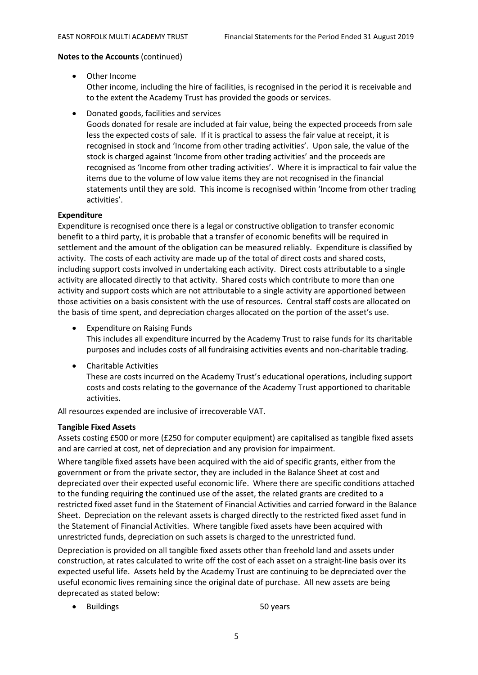• Other Income

Other income, including the hire of facilities, is recognised in the period it is receivable and to the extent the Academy Trust has provided the goods or services.

• Donated goods, facilities and services

Goods donated for resale are included at fair value, being the expected proceeds from sale less the expected costs of sale. If it is practical to assess the fair value at receipt, it is recognised in stock and 'Income from other trading activities'. Upon sale, the value of the stock is charged against 'Income from other trading activities' and the proceeds are recognised as 'Income from other trading activities'. Where it is impractical to fair value the items due to the volume of low value items they are not recognised in the financial statements until they are sold. This income is recognised within 'Income from other trading activities'.

# **Expenditure**

Expenditure is recognised once there is a legal or constructive obligation to transfer economic benefit to a third party, it is probable that a transfer of economic benefits will be required in settlement and the amount of the obligation can be measured reliably. Expenditure is classified by activity. The costs of each activity are made up of the total of direct costs and shared costs, including support costs involved in undertaking each activity. Direct costs attributable to a single activity are allocated directly to that activity. Shared costs which contribute to more than one activity and support costs which are not attributable to a single activity are apportioned between those activities on a basis consistent with the use of resources. Central staff costs are allocated on the basis of time spent, and depreciation charges allocated on the portion of the asset's use.

- Expenditure on Raising Funds This includes all expenditure incurred by the Academy Trust to raise funds for its charitable purposes and includes costs of all fundraising activities events and non-charitable trading.
- Charitable Activities These are costs incurred on the Academy Trust's educational operations, including support costs and costs relating to the governance of the Academy Trust apportioned to charitable activities.

All resources expended are inclusive of irrecoverable VAT.

# **Tangible Fixed Assets**

Assets costing £500 or more (£250 for computer equipment) are capitalised as tangible fixed assets and are carried at cost, net of depreciation and any provision for impairment.

Where tangible fixed assets have been acquired with the aid of specific grants, either from the government or from the private sector, they are included in the Balance Sheet at cost and depreciated over their expected useful economic life. Where there are specific conditions attached to the funding requiring the continued use of the asset, the related grants are credited to a restricted fixed asset fund in the Statement of Financial Activities and carried forward in the Balance Sheet. Depreciation on the relevant assets is charged directly to the restricted fixed asset fund in the Statement of Financial Activities. Where tangible fixed assets have been acquired with unrestricted funds, depreciation on such assets is charged to the unrestricted fund.

Depreciation is provided on all tangible fixed assets other than freehold land and assets under construction, at rates calculated to write off the cost of each asset on a straight-line basis over its expected useful life. Assets held by the Academy Trust are continuing to be depreciated over the useful economic lives remaining since the original date of purchase. All new assets are being deprecated as stated below:

• Buildings 50 years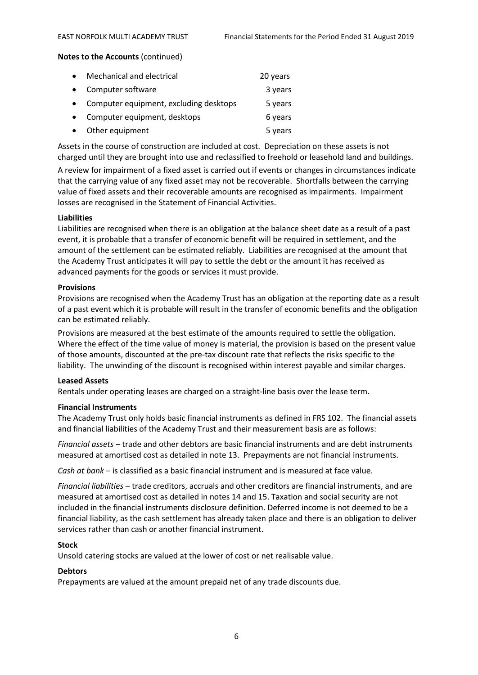| $\bullet$ | Mechanical and electrical              | 20 years |
|-----------|----------------------------------------|----------|
| $\bullet$ | Computer software                      | 3 years  |
|           | Computer equipment, excluding desktops | 5 years  |
|           | Computer equipment, desktops           | 6 years  |
|           | Other equipment                        | 5 years  |

Assets in the course of construction are included at cost. Depreciation on these assets is not charged until they are brought into use and reclassified to freehold or leasehold land and buildings.

A review for impairment of a fixed asset is carried out if events or changes in circumstances indicate that the carrying value of any fixed asset may not be recoverable. Shortfalls between the carrying value of fixed assets and their recoverable amounts are recognised as impairments. Impairment losses are recognised in the Statement of Financial Activities.

#### **Liabilities**

Liabilities are recognised when there is an obligation at the balance sheet date as a result of a past event, it is probable that a transfer of economic benefit will be required in settlement, and the amount of the settlement can be estimated reliably. Liabilities are recognised at the amount that the Academy Trust anticipates it will pay to settle the debt or the amount it has received as advanced payments for the goods or services it must provide.

#### **Provisions**

Provisions are recognised when the Academy Trust has an obligation at the reporting date as a result of a past event which it is probable will result in the transfer of economic benefits and the obligation can be estimated reliably.

Provisions are measured at the best estimate of the amounts required to settle the obligation. Where the effect of the time value of money is material, the provision is based on the present value of those amounts, discounted at the pre-tax discount rate that reflects the risks specific to the liability. The unwinding of the discount is recognised within interest payable and similar charges.

#### **Leased Assets**

Rentals under operating leases are charged on a straight-line basis over the lease term.

#### **Financial Instruments**

The Academy Trust only holds basic financial instruments as defined in FRS 102. The financial assets and financial liabilities of the Academy Trust and their measurement basis are as follows:

*Financial assets* – trade and other debtors are basic financial instruments and are debt instruments measured at amortised cost as detailed in note 13. Prepayments are not financial instruments.

*Cash at bank* – is classified as a basic financial instrument and is measured at face value.

*Financial liabilities* – trade creditors, accruals and other creditors are financial instruments, and are measured at amortised cost as detailed in notes 14 and 15. Taxation and social security are not included in the financial instruments disclosure definition. Deferred income is not deemed to be a financial liability, as the cash settlement has already taken place and there is an obligation to deliver services rather than cash or another financial instrument.

#### **Stock**

Unsold catering stocks are valued at the lower of cost or net realisable value.

# **Debtors**

Prepayments are valued at the amount prepaid net of any trade discounts due.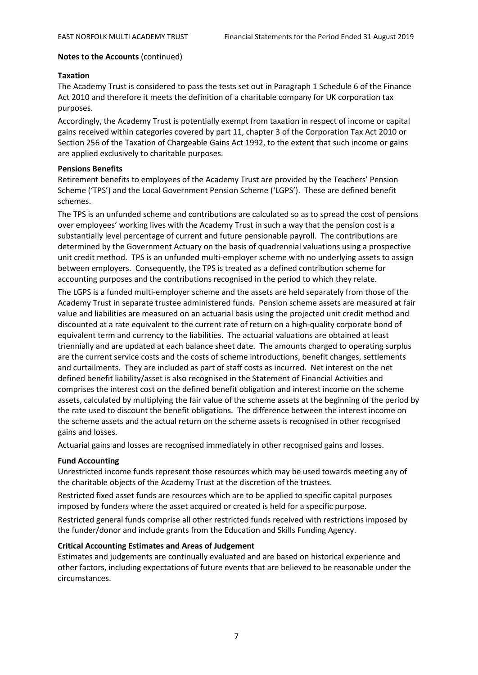#### **Taxation**

The Academy Trust is considered to pass the tests set out in Paragraph 1 Schedule 6 of the Finance Act 2010 and therefore it meets the definition of a charitable company for UK corporation tax purposes.

Accordingly, the Academy Trust is potentially exempt from taxation in respect of income or capital gains received within categories covered by part 11, chapter 3 of the Corporation Tax Act 2010 or Section 256 of the Taxation of Chargeable Gains Act 1992, to the extent that such income or gains are applied exclusively to charitable purposes.

#### **Pensions Benefits**

Retirement benefits to employees of the Academy Trust are provided by the Teachers' Pension Scheme ('TPS') and the Local Government Pension Scheme ('LGPS'). These are defined benefit schemes.

The TPS is an unfunded scheme and contributions are calculated so as to spread the cost of pensions over employees' working lives with the Academy Trust in such a way that the pension cost is a substantially level percentage of current and future pensionable payroll. The contributions are determined by the Government Actuary on the basis of quadrennial valuations using a prospective unit credit method. TPS is an unfunded multi-employer scheme with no underlying assets to assign between employers. Consequently, the TPS is treated as a defined contribution scheme for accounting purposes and the contributions recognised in the period to which they relate.

The LGPS is a funded multi-employer scheme and the assets are held separately from those of the Academy Trust in separate trustee administered funds. Pension scheme assets are measured at fair value and liabilities are measured on an actuarial basis using the projected unit credit method and discounted at a rate equivalent to the current rate of return on a high-quality corporate bond of equivalent term and currency to the liabilities. The actuarial valuations are obtained at least triennially and are updated at each balance sheet date. The amounts charged to operating surplus are the current service costs and the costs of scheme introductions, benefit changes, settlements and curtailments. They are included as part of staff costs as incurred. Net interest on the net defined benefit liability/asset is also recognised in the Statement of Financial Activities and comprises the interest cost on the defined benefit obligation and interest income on the scheme assets, calculated by multiplying the fair value of the scheme assets at the beginning of the period by the rate used to discount the benefit obligations. The difference between the interest income on the scheme assets and the actual return on the scheme assets is recognised in other recognised gains and losses.

Actuarial gains and losses are recognised immediately in other recognised gains and losses.

# **Fund Accounting**

Unrestricted income funds represent those resources which may be used towards meeting any of the charitable objects of the Academy Trust at the discretion of the trustees.

Restricted fixed asset funds are resources which are to be applied to specific capital purposes imposed by funders where the asset acquired or created is held for a specific purpose.

Restricted general funds comprise all other restricted funds received with restrictions imposed by the funder/donor and include grants from the Education and Skills Funding Agency.

# **Critical Accounting Estimates and Areas of Judgement**

Estimates and judgements are continually evaluated and are based on historical experience and other factors, including expectations of future events that are believed to be reasonable under the circumstances.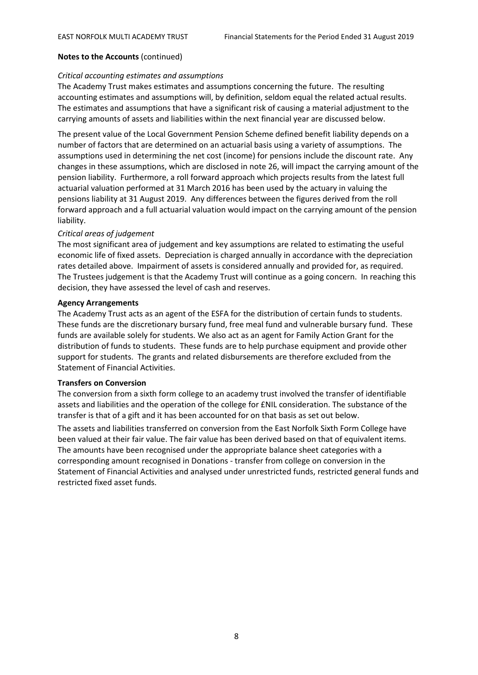#### *Critical accounting estimates and assumptions*

The Academy Trust makes estimates and assumptions concerning the future. The resulting accounting estimates and assumptions will, by definition, seldom equal the related actual results. The estimates and assumptions that have a significant risk of causing a material adjustment to the carrying amounts of assets and liabilities within the next financial year are discussed below.

The present value of the Local Government Pension Scheme defined benefit liability depends on a number of factors that are determined on an actuarial basis using a variety of assumptions. The assumptions used in determining the net cost (income) for pensions include the discount rate. Any changes in these assumptions, which are disclosed in note 26, will impact the carrying amount of the pension liability. Furthermore, a roll forward approach which projects results from the latest full actuarial valuation performed at 31 March 2016 has been used by the actuary in valuing the pensions liability at 31 August 2019. Any differences between the figures derived from the roll forward approach and a full actuarial valuation would impact on the carrying amount of the pension liability.

#### *Critical areas of judgement*

The most significant area of judgement and key assumptions are related to estimating the useful economic life of fixed assets. Depreciation is charged annually in accordance with the depreciation rates detailed above. Impairment of assets is considered annually and provided for, as required. The Trustees judgement is that the Academy Trust will continue as a going concern. In reaching this decision, they have assessed the level of cash and reserves.

#### **Agency Arrangements**

The Academy Trust acts as an agent of the ESFA for the distribution of certain funds to students. These funds are the discretionary bursary fund, free meal fund and vulnerable bursary fund. These funds are available solely for students. We also act as an agent for Family Action Grant for the distribution of funds to students. These funds are to help purchase equipment and provide other support for students. The grants and related disbursements are therefore excluded from the Statement of Financial Activities.

#### **Transfers on Conversion**

The conversion from a sixth form college to an academy trust involved the transfer of identifiable assets and liabilities and the operation of the college for £NIL consideration. The substance of the transfer is that of a gift and it has been accounted for on that basis as set out below.

The assets and liabilities transferred on conversion from the East Norfolk Sixth Form College have been valued at their fair value. The fair value has been derived based on that of equivalent items. The amounts have been recognised under the appropriate balance sheet categories with a corresponding amount recognised in Donations - transfer from college on conversion in the Statement of Financial Activities and analysed under unrestricted funds, restricted general funds and restricted fixed asset funds.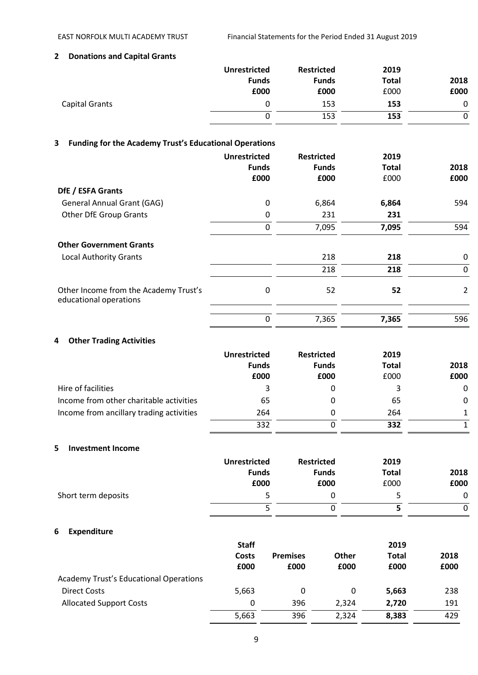# **2 Donations and Capital Grants**

|                | <b>Unrestricted</b> | <b>Restricted</b> | 2019         |      |
|----------------|---------------------|-------------------|--------------|------|
|                | <b>Funds</b>        | <b>Funds</b>      | <b>Total</b> | 2018 |
|                | £000                | £000              | £000         | £000 |
| Capital Grants | 0                   | 153               | 153          | 0    |
|                | 0                   | 153               | 153          |      |

# **3 Funding for the Academy Trust's Educational Operations**

|                                                                 | <b>Unrestricted</b><br><b>Funds</b><br>£000 | <b>Restricted</b><br><b>Funds</b><br>£000 | 2019<br><b>Total</b><br>£000 | 2018<br>£000   |
|-----------------------------------------------------------------|---------------------------------------------|-------------------------------------------|------------------------------|----------------|
| DfE / ESFA Grants                                               |                                             |                                           |                              |                |
| <b>General Annual Grant (GAG)</b>                               | 0                                           | 6,864                                     | 6,864                        | 594            |
| <b>Other DfE Group Grants</b>                                   | 0                                           | 231                                       | 231                          |                |
|                                                                 | 0                                           | 7,095                                     | 7,095                        | 594            |
| <b>Other Government Grants</b>                                  |                                             |                                           |                              |                |
| <b>Local Authority Grants</b>                                   |                                             | 218                                       | 218                          | 0              |
|                                                                 |                                             | 218                                       | 218                          | 0              |
| Other Income from the Academy Trust's<br>educational operations | 0                                           | 52                                        | 52                           | $\overline{2}$ |
|                                                                 | 0                                           | 7,365                                     | 7,365                        | 596            |

# **4 Other Trading Activities**

|                                          | <b>Unrestricted</b> | <b>Restricted</b> | 2019 |              |              |      |
|------------------------------------------|---------------------|-------------------|------|--------------|--------------|------|
|                                          | <b>Funds</b>        |                   |      | <b>Funds</b> | <b>Total</b> | 2018 |
|                                          | £000                | £000              | £000 | £000         |              |      |
| Hire of facilities                       | 3                   | 0                 | 3    | $\mathbf{0}$ |              |      |
| Income from other charitable activities  | 65                  | 0                 | 65   | 0            |              |      |
| Income from ancillary trading activities | 264                 | 0                 | 264  |              |              |      |
|                                          | 332                 |                   | 332  |              |              |      |

#### **5 Investment Income**

|                     | <b>Unrestricted</b> | <b>Restricted</b> | 2019         |      |
|---------------------|---------------------|-------------------|--------------|------|
|                     | <b>Funds</b>        | <b>Funds</b>      | <b>Total</b> | 2018 |
|                     | £000                | £000              | £000         | £000 |
| Short term deposits |                     |                   | 5.           | 0    |
|                     |                     |                   |              | 0    |

# **6 Expenditure**

|                                               | <b>Staff</b>  |                         |                      | 2019                 |              |
|-----------------------------------------------|---------------|-------------------------|----------------------|----------------------|--------------|
|                                               | Costs<br>£000 | <b>Premises</b><br>£000 | <b>Other</b><br>£000 | <b>Total</b><br>£000 | 2018<br>£000 |
| <b>Academy Trust's Educational Operations</b> |               |                         |                      |                      |              |
| Direct Costs                                  | 5,663         | 0                       |                      | 5,663                | 238          |
| <b>Allocated Support Costs</b>                | 0             | 396                     | 2.324                | 2.720                | 191          |
|                                               | 5,663         | 396                     | 2.324                | 8,383                | 429          |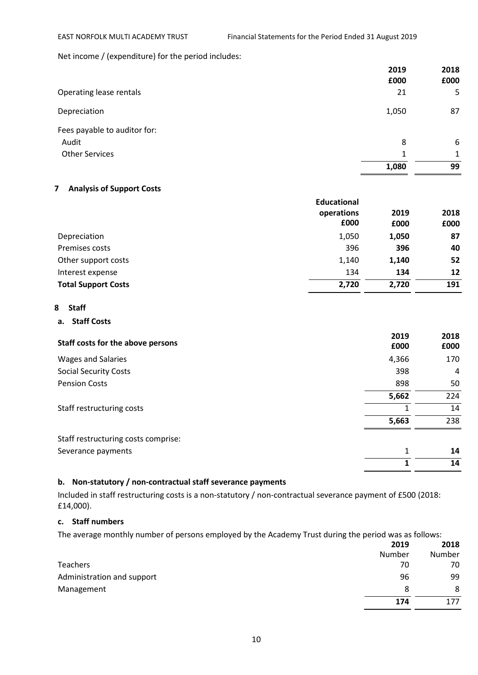Net income / (expenditure) for the period includes:

|                              | 2019<br>£000 | 2018<br>£000 |
|------------------------------|--------------|--------------|
| Operating lease rentals      | 21           | 5            |
| Depreciation                 | 1,050        | 87           |
| Fees payable to auditor for: |              |              |
| Audit                        | 8            | 6            |
| <b>Other Services</b>        | 1            | $\mathbf{1}$ |
|                              | 1,080        | 99           |

# **7 Analysis of Support Costs**

|                            | <b>Educational</b> |       |      |
|----------------------------|--------------------|-------|------|
|                            | operations         | 2019  | 2018 |
|                            | £000               | £000  | £000 |
| Depreciation               | 1,050              | 1,050 | 87   |
| Premises costs             | 396                | 396   | 40   |
| Other support costs        | 1,140              | 1,140 | 52   |
| Interest expense           | 134                | 134   | 12   |
| <b>Total Support Costs</b> | 2,720              | 2,720 | 191  |

#### **8 Staff**

# **a. Staff Costs**

| Staff costs for the above persons   | 2019<br>£000 | 2018<br>£000 |
|-------------------------------------|--------------|--------------|
| <b>Wages and Salaries</b>           | 4,366        | 170          |
| <b>Social Security Costs</b>        | 398          | 4            |
| <b>Pension Costs</b>                | 898          | 50           |
|                                     | 5,662        | 224          |
| Staff restructuring costs           | 1            | 14           |
|                                     | 5,663        | 238          |
| Staff restructuring costs comprise: |              |              |
| Severance payments                  | 1            | 14           |
|                                     |              | 14           |

# **b. Non-statutory / non-contractual staff severance payments**

Included in staff restructuring costs is a non-statutory / non-contractual severance payment of £500 (2018: £14,000).

### **c. Staff numbers**

The average monthly number of persons employed by the Academy Trust during the period was as follows:

|                            | 2019   | 2018   |
|----------------------------|--------|--------|
|                            | Number | Number |
| Teachers                   | 70     | 70     |
| Administration and support | 96     | 99     |
| Management                 | 8      | 8      |
|                            | 174    | 177    |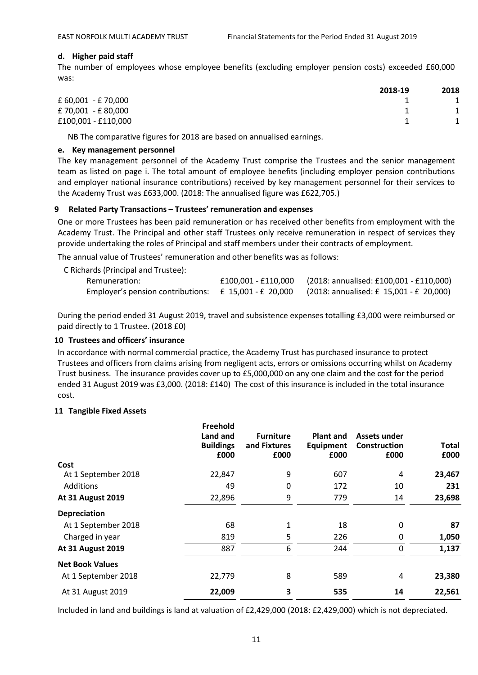# **d. Higher paid staff**

The number of employees whose employee benefits (excluding employer pension costs) exceeded £60,000 was:

|                     | 2018-19 | 2018 |
|---------------------|---------|------|
| £ 60,001 - £ 70,000 |         |      |
| £70,001 - £80,000   |         |      |
| £100,001 - £110,000 |         |      |

NB The comparative figures for 2018 are based on annualised earnings.

#### **e. Key management personnel**

The key management personnel of the Academy Trust comprise the Trustees and the senior management team as listed on page i. The total amount of employee benefits (including employer pension contributions and employer national insurance contributions) received by key management personnel for their services to the Academy Trust was £633,000. (2018: The annualised figure was £622,705.)

# **9 Related Party Transactions – Trustees' remuneration and expenses**

One or more Trustees has been paid remuneration or has received other benefits from employment with the Academy Trust. The Principal and other staff Trustees only receive remuneration in respect of services they provide undertaking the roles of Principal and staff members under their contracts of employment.

The annual value of Trustees' remuneration and other benefits was as follows:

| C Richards (Principal and Trustee):                       |                     |                                         |
|-----------------------------------------------------------|---------------------|-----------------------------------------|
| Remuneration:                                             | £100.001 - £110.000 | (2018: annualised: £100,001 - £110,000) |
| Employer's pension contributions: $\pm$ 15,001 - £ 20,000 |                     | (2018: annualised: £ 15,001 - £ 20,000) |

During the period ended 31 August 2019, travel and subsistence expenses totalling £3,000 were reimbursed or paid directly to 1 Trustee. (2018 £0)

# **10 Trustees and officers' insurance**

In accordance with normal commercial practice, the Academy Trust has purchased insurance to protect Trustees and officers from claims arising from negligent acts, errors or omissions occurring whilst on Academy Trust business. The insurance provides cover up to £5,000,000 on any one claim and the cost for the period ended 31 August 2019 was £3,000. (2018: £140) The cost of this insurance is included in the total insurance cost.

# **11 Tangible Fixed Assets**

| Land and<br><b>Buildings</b><br>£000 | <b>Furniture</b><br>and Fixtures<br>£000 | <b>Plant and</b><br><b>Equipment</b><br>£000 | Assets under<br>Construction<br>£000 | <b>Total</b><br>£000 |
|--------------------------------------|------------------------------------------|----------------------------------------------|--------------------------------------|----------------------|
|                                      |                                          |                                              |                                      |                      |
| 22,847                               | 9                                        | 607                                          | 4                                    | 23,467               |
| 49                                   | $\mathbf 0$                              | 172                                          | 10                                   | 231                  |
| 22,896                               | 9                                        | 779                                          | 14                                   | 23,698               |
|                                      |                                          |                                              |                                      |                      |
| 68                                   | $\mathbf{1}$                             | 18                                           | 0                                    | 87                   |
| 819                                  | 5                                        | 226                                          | 0                                    | 1,050                |
| 887                                  | 6                                        | 244                                          | 0                                    | 1,137                |
|                                      |                                          |                                              |                                      |                      |
| 22,779                               | 8                                        | 589                                          | 4                                    | 23,380               |
| 22,009                               | 3                                        | 535                                          | 14                                   | 22,561               |
|                                      |                                          |                                              | Freehold                             |                      |

Included in land and buildings is land at valuation of £2,429,000 (2018: £2,429,000) which is not depreciated.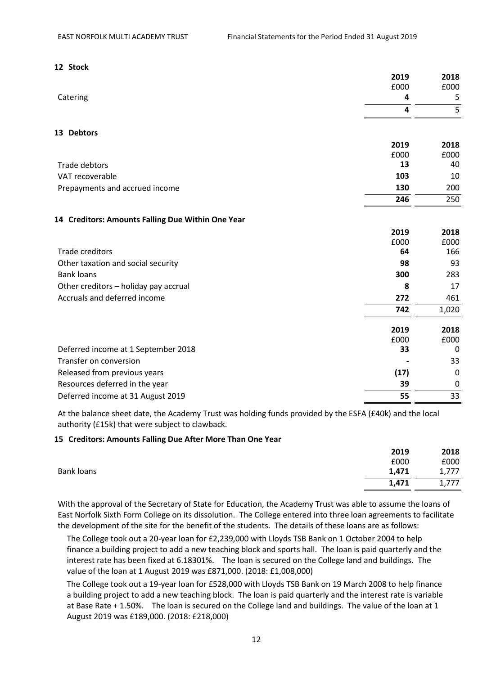| 12 Stock                                          |                         |                |
|---------------------------------------------------|-------------------------|----------------|
|                                                   | 2019                    | 2018           |
|                                                   | £000                    | £000           |
| Catering                                          | 4                       | 5              |
|                                                   | $\overline{\mathbf{4}}$ | $\overline{5}$ |
| 13 Debtors                                        |                         |                |
|                                                   | 2019                    | 2018           |
|                                                   | £000                    | £000           |
| Trade debtors                                     | 13                      | 40             |
| VAT recoverable                                   | 103                     | 10             |
| Prepayments and accrued income                    | 130                     | 200            |
|                                                   | 246                     | 250            |
| 14 Creditors: Amounts Falling Due Within One Year |                         |                |
|                                                   | 2019                    | 2018           |
|                                                   | £000                    | £000           |
| <b>Trade creditors</b>                            | 64                      | 166            |
| Other taxation and social security                | 98                      | 93             |
| <b>Bank loans</b>                                 | 300                     | 283            |
| Other creditors - holiday pay accrual             | 8                       | 17             |
| Accruals and deferred income                      | 272                     | 461            |
|                                                   | 742                     | 1,020          |
|                                                   | 2019                    | 2018           |
|                                                   | £000                    | £000           |
| Deferred income at 1 September 2018               | 33                      | 0              |
| Transfer on conversion                            |                         | 33             |
| Released from previous years                      | (17)                    | $\mathbf 0$    |
| Resources deferred in the year                    | 39                      | 0              |
| Deferred income at 31 August 2019                 | 55                      | 33             |

At the balance sheet date, the Academy Trust was holding funds provided by the ESFA (£40k) and the local authority (£15k) that were subject to clawback.

# **15 Creditors: Amounts Falling Due After More Than One Year**

|            | 2019  | 2018  |
|------------|-------|-------|
|            | £000  | £000  |
| Bank loans | 1,471 | 1,777 |
|            | 1,471 | 1,777 |
|            |       |       |

With the approval of the Secretary of State for Education, the Academy Trust was able to assume the loans of East Norfolk Sixth Form College on its dissolution. The College entered into three loan agreements to facilitate the development of the site for the benefit of the students. The details of these loans are as follows:

The College took out a 20-year loan for £2,239,000 with Lloyds TSB Bank on 1 October 2004 to help finance a building project to add a new teaching block and sports hall. The loan is paid quarterly and the interest rate has been fixed at 6.18301%. The loan is secured on the College land and buildings. The value of the loan at 1 August 2019 was £871,000. (2018: £1,008,000)

The College took out a 19-year loan for £528,000 with Lloyds TSB Bank on 19 March 2008 to help finance a building project to add a new teaching block. The loan is paid quarterly and the interest rate is variable at Base Rate + 1.50%. The loan is secured on the College land and buildings. The value of the loan at 1 August 2019 was £189,000. (2018: £218,000)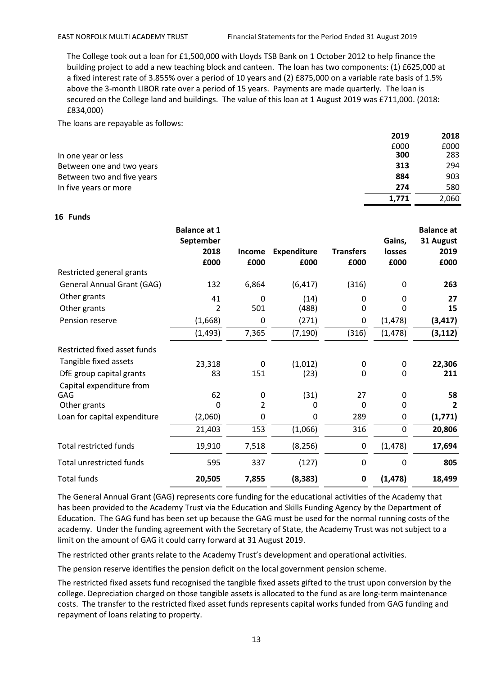The College took out a loan for £1,500,000 with Lloyds TSB Bank on 1 October 2012 to help finance the building project to add a new teaching block and canteen. The loan has two components: (1) £625,000 at a fixed interest rate of 3.855% over a period of 10 years and (2) £875,000 on a variable rate basis of 1.5% above the 3-month LIBOR rate over a period of 15 years. Payments are made quarterly. The loan is secured on the College land and buildings. The value of this loan at 1 August 2019 was £711,000. (2018: £834,000)

The loans are repayable as follows:

|                            | 2019  | 2018  |
|----------------------------|-------|-------|
|                            | £000  | £000  |
| In one year or less        | 300   | 283   |
| Between one and two years  | 313   | 294   |
| Between two and five years | 884   | 903   |
| In five years or more      | 274   | 580   |
|                            | 1.771 | 2,060 |

#### **16 Funds**

|                                   | <b>Balance at 1</b><br>September<br>2018<br>£000 | <b>Income</b><br>£000 | <b>Expenditure</b><br>£000 | <b>Transfers</b><br>£000 | Gains,<br>losses<br>£000 | <b>Balance at</b><br>31 August<br>2019<br>£000 |
|-----------------------------------|--------------------------------------------------|-----------------------|----------------------------|--------------------------|--------------------------|------------------------------------------------|
| Restricted general grants         |                                                  |                       |                            |                          |                          |                                                |
| <b>General Annual Grant (GAG)</b> | 132                                              | 6,864                 | (6, 417)                   | (316)                    | 0                        | 263                                            |
| Other grants                      | 41                                               | 0                     | (14)                       | 0                        | 0                        | 27                                             |
| Other grants                      | 2                                                | 501                   | (488)                      | $\mathbf{0}$             | 0                        | 15                                             |
| Pension reserve                   | (1,668)                                          | 0                     | (271)                      | 0                        | (1, 478)                 | (3, 417)                                       |
|                                   | (1, 493)                                         | 7,365                 | (7, 190)                   | (316)                    | (1, 478)                 | (3, 112)                                       |
| Restricted fixed asset funds      |                                                  |                       |                            |                          |                          |                                                |
| Tangible fixed assets             | 23,318                                           | 0                     | (1,012)                    | 0                        | 0                        | 22,306                                         |
| DfE group capital grants          | 83                                               | 151                   | (23)                       | $\Omega$                 | 0                        | 211                                            |
| Capital expenditure from          |                                                  |                       |                            |                          |                          |                                                |
| GAG                               | 62                                               | 0                     | (31)                       | 27                       | 0                        | 58                                             |
| Other grants                      | $\Omega$                                         | $\overline{2}$        | 0                          | $\Omega$                 | 0                        | $\overline{2}$                                 |
| Loan for capital expenditure      | (2,060)                                          | 0                     | 0                          | 289                      | 0                        | (1,771)                                        |
|                                   | 21,403                                           | 153                   | (1,066)                    | 316                      | $\mathbf 0$              | 20,806                                         |
| <b>Total restricted funds</b>     | 19,910                                           | 7,518                 | (8, 256)                   | 0                        | (1, 478)                 | 17,694                                         |
| <b>Total unrestricted funds</b>   | 595                                              | 337                   | (127)                      | 0                        | 0                        | 805                                            |
| <b>Total funds</b>                | 20,505                                           | 7,855                 | (8, 383)                   | $\mathbf 0$              | (1, 478)                 | 18,499                                         |

The General Annual Grant (GAG) represents core funding for the educational activities of the Academy that has been provided to the Academy Trust via the Education and Skills Funding Agency by the Department of Education. The GAG fund has been set up because the GAG must be used for the normal running costs of the academy. Under the funding agreement with the Secretary of State, the Academy Trust was not subject to a limit on the amount of GAG it could carry forward at 31 August 2019.

The restricted other grants relate to the Academy Trust's development and operational activities.

The pension reserve identifies the pension deficit on the local government pension scheme.

The restricted fixed assets fund recognised the tangible fixed assets gifted to the trust upon conversion by the college. Depreciation charged on those tangible assets is allocated to the fund as are long-term maintenance costs. The transfer to the restricted fixed asset funds represents capital works funded from GAG funding and repayment of loans relating to property.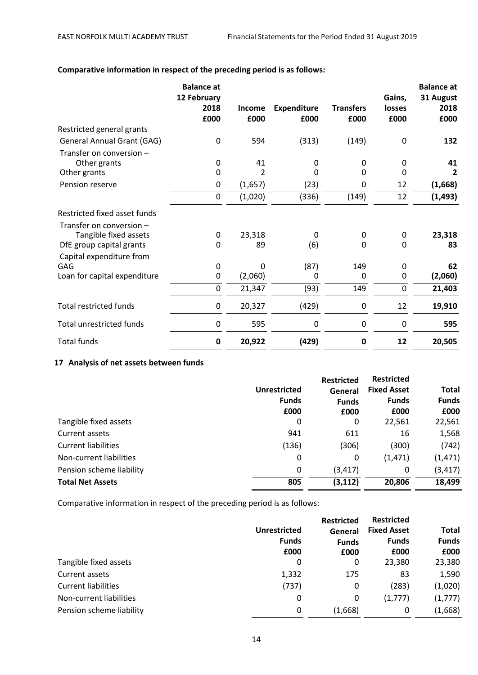|                                                                               | <b>Balance</b> at<br>12 February<br>2018<br>£000 | <b>Income</b><br>£000 | <b>Expenditure</b><br>£000 | <b>Transfers</b><br>£000 | Gains,<br>losses<br>£000 | <b>Balance</b> at<br>31 August<br>2018<br>£000 |
|-------------------------------------------------------------------------------|--------------------------------------------------|-----------------------|----------------------------|--------------------------|--------------------------|------------------------------------------------|
| Restricted general grants                                                     |                                                  |                       |                            |                          |                          |                                                |
| <b>General Annual Grant (GAG)</b>                                             | 0                                                | 594                   | (313)                      | (149)                    | 0                        | 132                                            |
| Transfer on conversion -<br>Other grants                                      | 0                                                | 41                    | 0                          | 0                        | 0                        | 41                                             |
| Other grants                                                                  | 0                                                | 2                     | 0                          | 0                        | 0                        | 2                                              |
| Pension reserve                                                               | $\mathbf 0$                                      | (1,657)               | (23)                       | 0                        | 12                       | (1,668)                                        |
|                                                                               | $\pmb{0}$                                        | (1,020)               | (336)                      | (149)                    | 12                       | (1, 493)                                       |
| Restricted fixed asset funds                                                  |                                                  |                       |                            |                          |                          |                                                |
| Transfer on conversion -<br>Tangible fixed assets<br>DfE group capital grants | 0<br>0                                           | 23,318<br>89          | 0<br>(6)                   | 0<br>0                   | 0<br>0                   | 23,318<br>83                                   |
| Capital expenditure from<br>GAG<br>Loan for capital expenditure               | 0<br>0                                           | 0<br>(2,060)          | (87)<br>0                  | 149<br>0                 | 0<br>0                   | 62<br>(2,060)                                  |
|                                                                               | $\pmb{0}$                                        | 21,347                | (93)                       | 149                      | 0                        | 21,403                                         |
| <b>Total restricted funds</b>                                                 | $\mathbf 0$                                      | 20,327                | (429)                      | 0                        | 12                       | 19,910                                         |
| <b>Total unrestricted funds</b>                                               | $\mathbf 0$                                      | 595                   | 0                          | 0                        | 0                        | 595                                            |
| <b>Total funds</b>                                                            | 0                                                | 20,922                | (429)                      | 0                        | 12                       | 20,505                                         |

# **Comparative information in respect of the preceding period is as follows:**

#### **17 Analysis of net assets between funds**

|                     | <b>Restricted</b> |                    |                   |
|---------------------|-------------------|--------------------|-------------------|
| <b>Unrestricted</b> | General           | <b>Fixed Asset</b> | <b>Total</b>      |
| <b>Funds</b>        | <b>Funds</b>      | <b>Funds</b>       | <b>Funds</b>      |
| £000                | £000              | £000               | £000              |
| 0                   | 0                 | 22,561             | 22,561            |
| 941                 | 611               | 16                 | 1,568             |
| (136)               | (306)             | (300)              | (742)             |
| 0                   | 0                 | (1, 471)           | (1, 471)          |
| 0                   | (3, 417)          | 0                  | (3, 417)          |
| 805                 | (3, 112)          | 20,806             | 18,499            |
|                     |                   |                    | <b>Restricted</b> |

Comparative information in respect of the preceding period is as follows:

|                            |                     | <b>Restricted</b> | <b>Restricted</b>  |              |  |
|----------------------------|---------------------|-------------------|--------------------|--------------|--|
|                            | <b>Unrestricted</b> | General           | <b>Fixed Asset</b> | <b>Total</b> |  |
|                            | <b>Funds</b>        | <b>Funds</b>      | <b>Funds</b>       | <b>Funds</b> |  |
|                            | £000                | £000              | £000               | £000         |  |
| Tangible fixed assets      | 0                   | 0                 | 23,380             | 23,380       |  |
| Current assets             | 1,332               | 175               | 83                 | 1,590        |  |
| <b>Current liabilities</b> | (737)               | 0                 | (283)              | (1,020)      |  |
| Non-current liabilities    | 0                   | 0                 | (1,777)            | (1, 777)     |  |
| Pension scheme liability   | 0                   | (1,668)           | 0                  | (1,668)      |  |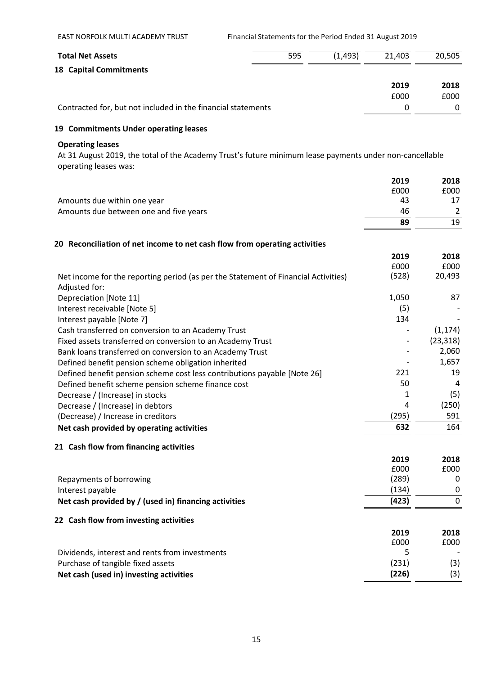| <b>Total Net Assets</b>                                                                                                          | 595 | (1, 493) | 21,403        | 20,505       |
|----------------------------------------------------------------------------------------------------------------------------------|-----|----------|---------------|--------------|
| <b>18 Capital Commitments</b>                                                                                                    |     |          |               |              |
|                                                                                                                                  |     |          | 2019          | 2018         |
|                                                                                                                                  |     |          | £000          | £000         |
| Contracted for, but not included in the financial statements                                                                     |     |          | 0             | 0            |
| 19 Commitments Under operating leases                                                                                            |     |          |               |              |
| <b>Operating leases</b>                                                                                                          |     |          |               |              |
| At 31 August 2019, the total of the Academy Trust's future minimum lease payments under non-cancellable<br>operating leases was: |     |          |               |              |
|                                                                                                                                  |     |          | 2019          | 2018         |
|                                                                                                                                  |     |          | £000          | £000         |
| Amounts due within one year                                                                                                      |     |          | 43            | 17           |
| Amounts due between one and five years                                                                                           |     |          | 46            | 2            |
|                                                                                                                                  |     |          | 89            | 19           |
| 20 Reconciliation of net income to net cash flow from operating activities                                                       |     |          |               |              |
|                                                                                                                                  |     |          | 2019          | 2018         |
|                                                                                                                                  |     |          | £000          | £000         |
| Net income for the reporting period (as per the Statement of Financial Activities)<br>Adjusted for:                              |     |          | (528)         | 20,493       |
| Depreciation [Note 11]                                                                                                           |     |          | 1,050         | 87           |
| Interest receivable [Note 5]                                                                                                     |     |          | (5)           |              |
| Interest payable [Note 7]                                                                                                        |     |          | 134           |              |
| Cash transferred on conversion to an Academy Trust                                                                               |     |          |               | (1, 174)     |
| Fixed assets transferred on conversion to an Academy Trust                                                                       |     |          |               | (23, 318)    |
| Bank loans transferred on conversion to an Academy Trust                                                                         |     |          |               | 2,060        |
| Defined benefit pension scheme obligation inherited                                                                              |     |          |               | 1,657        |
| Defined benefit pension scheme cost less contributions payable [Note 26]                                                         |     |          | 221           | 19           |
| Defined benefit scheme pension scheme finance cost                                                                               |     |          | 50            | 4            |
| Decrease / (Increase) in stocks                                                                                                  |     |          | 1             | (5)          |
| Decrease / (Increase) in debtors                                                                                                 |     |          | Δ             | (250)        |
| (Decrease) / Increase in creditors                                                                                               |     |          | (295)         | 591          |
| Net cash provided by operating activities                                                                                        |     |          | 632           | 164          |
| 21 Cash flow from financing activities                                                                                           |     |          |               |              |
|                                                                                                                                  |     |          | 2019          | 2018         |
|                                                                                                                                  |     |          | £000<br>(289) | £000<br>0    |
| Repayments of borrowing                                                                                                          |     |          | (134)         | 0            |
| Interest payable<br>Net cash provided by / (used in) financing activities                                                        |     |          | (423)         | 0            |
|                                                                                                                                  |     |          |               |              |
| 22 Cash flow from investing activities                                                                                           |     |          |               |              |
|                                                                                                                                  |     |          | 2019<br>£000  | 2018<br>£000 |
| Dividends, interest and rents from investments                                                                                   |     |          | 5             |              |
| Purchase of tangible fixed assets                                                                                                |     |          | (231)         | (3)          |
| Net cash (used in) investing activities                                                                                          |     |          | (226)         | (3)          |
|                                                                                                                                  |     |          |               |              |

EAST NORFOLK MULTI ACADEMY TRUST Financial Statements for the Period Ended 31 August 2019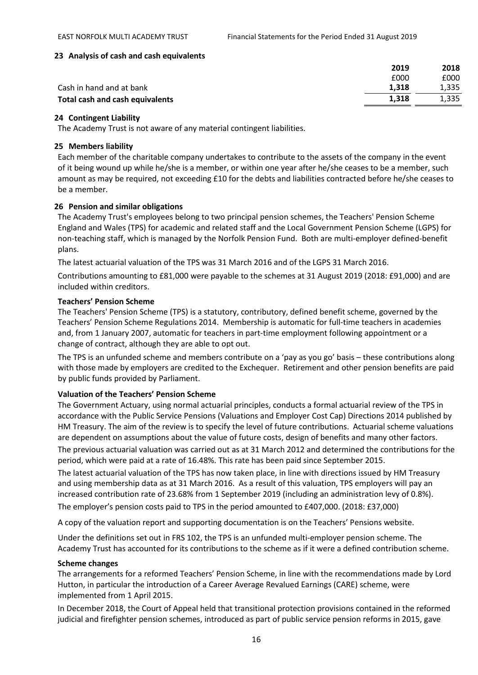### **23 Analysis of cash and cash equivalents**

|                                        | 2019  | 2018  |
|----------------------------------------|-------|-------|
|                                        | £000  | £000  |
| Cash in hand and at bank               | 1.318 | 1.335 |
| <b>Total cash and cash equivalents</b> | 1.318 | 1,335 |
|                                        |       |       |

#### **24 Contingent Liability**

The Academy Trust is not aware of any material contingent liabilities.

#### **25 Members liability**

Each member of the charitable company undertakes to contribute to the assets of the company in the event of it being wound up while he/she is a member, or within one year after he/she ceases to be a member, such amount as may be required, not exceeding £10 for the debts and liabilities contracted before he/she ceases to be a member.

#### **26 Pension and similar obligations**

The Academy Trust's employees belong to two principal pension schemes, the Teachers' Pension Scheme England and Wales (TPS) for academic and related staff and the Local Government Pension Scheme (LGPS) for non-teaching staff, which is managed by the Norfolk Pension Fund. Both are multi-employer defined-benefit plans.

The latest actuarial valuation of the TPS was 31 March 2016 and of the LGPS 31 March 2016.

Contributions amounting to £81,000 were payable to the schemes at 31 August 2019 (2018: £91,000) and are included within creditors.

#### **Teachers' Pension Scheme**

The Teachers' Pension Scheme (TPS) is a statutory, contributory, defined benefit scheme, governed by the Teachers' Pension Scheme Regulations 2014. Membership is automatic for full-time teachers in academies and, from 1 January 2007, automatic for teachers in part-time employment following appointment or a change of contract, although they are able to opt out.

The TPS is an unfunded scheme and members contribute on a 'pay as you go' basis – these contributions along with those made by employers are credited to the Exchequer. Retirement and other pension benefits are paid by public funds provided by Parliament.

# **Valuation of the Teachers' Pension Scheme**

The Government Actuary, using normal actuarial principles, conducts a formal actuarial review of the TPS in accordance with the Public Service Pensions (Valuations and Employer Cost Cap) Directions 2014 published by HM Treasury. The aim of the review is to specify the level of future contributions. Actuarial scheme valuations are dependent on assumptions about the value of future costs, design of benefits and many other factors.

The previous actuarial valuation was carried out as at 31 March 2012 and determined the contributions for the period, which were paid at a rate of 16.48%. This rate has been paid since September 2015.

The latest actuarial valuation of the TPS has now taken place, in line with directions issued by HM Treasury and using membership data as at 31 March 2016. As a result of this valuation, TPS employers will pay an increased contribution rate of 23.68% from 1 September 2019 (including an administration levy of 0.8%). The employer's pension costs paid to TPS in the period amounted to £407,000. (2018: £37,000)

A copy of the valuation report and supporting documentation is on the Teachers' Pensions website.

Under the definitions set out in FRS 102, the TPS is an unfunded multi-employer pension scheme. The Academy Trust has accounted for its contributions to the scheme as if it were a defined contribution scheme.

# **Scheme changes**

The arrangements for a reformed Teachers' Pension Scheme, in line with the recommendations made by Lord Hutton, in particular the introduction of a Career Average Revalued Earnings (CARE) scheme, were implemented from 1 April 2015.

In December 2018, the Court of Appeal held that transitional protection provisions contained in the reformed judicial and firefighter pension schemes, introduced as part of public service pension reforms in 2015, gave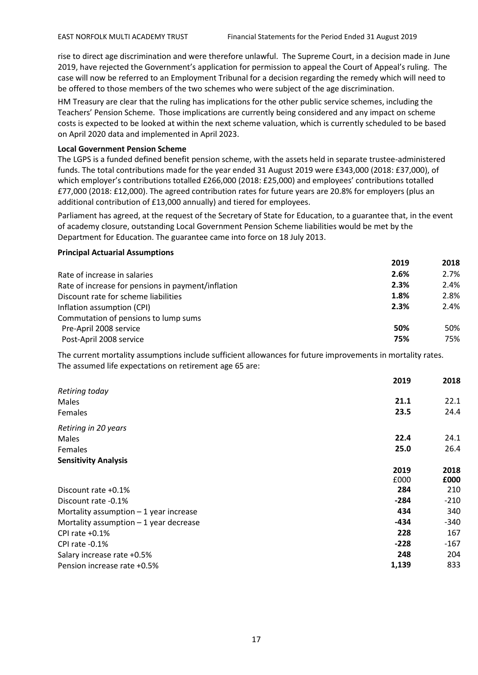rise to direct age discrimination and were therefore unlawful. The Supreme Court, in a decision made in June 2019, have rejected the Government's application for permission to appeal the Court of Appeal's ruling. The case will now be referred to an Employment Tribunal for a decision regarding the remedy which will need to be offered to those members of the two schemes who were subject of the age discrimination.

HM Treasury are clear that the ruling has implications for the other public service schemes, including the Teachers' Pension Scheme. Those implications are currently being considered and any impact on scheme costs is expected to be looked at within the next scheme valuation, which is currently scheduled to be based on April 2020 data and implemented in April 2023.

#### **Local Government Pension Scheme**

The LGPS is a funded defined benefit pension scheme, with the assets held in separate trustee-administered funds. The total contributions made for the year ended 31 August 2019 were £343,000 (2018: £37,000), of which employer's contributions totalled £266,000 (2018: £25,000) and employees' contributions totalled £77,000 (2018: £12,000). The agreed contribution rates for future years are 20.8% for employers (plus an additional contribution of £13,000 annually) and tiered for employees.

Parliament has agreed, at the request of the Secretary of State for Education, to a guarantee that, in the event of academy closure, outstanding Local Government Pension Scheme liabilities would be met by the Department for Education. The guarantee came into force on 18 July 2013.

#### **Principal Actuarial Assumptions**

|                                                    | 2019 | 2018 |
|----------------------------------------------------|------|------|
| Rate of increase in salaries                       | 2.6% | 2.7% |
| Rate of increase for pensions in payment/inflation | 2.3% | 2.4% |
| Discount rate for scheme liabilities               | 1.8% | 2.8% |
| Inflation assumption (CPI)                         | 2.3% | 2.4% |
| Commutation of pensions to lump sums               |      |      |
| Pre-April 2008 service                             | 50%  | 50%  |
| Post-April 2008 service                            | 75%  | 75%  |

The current mortality assumptions include sufficient allowances for future improvements in mortality rates. The assumed life expectations on retirement age 65 are:

|                                         | 2019   | 2018   |
|-----------------------------------------|--------|--------|
| Retiring today                          |        |        |
| Males                                   | 21.1   | 22.1   |
| <b>Females</b>                          | 23.5   | 24.4   |
| Retiring in 20 years                    |        |        |
| Males                                   | 22.4   | 24.1   |
| <b>Females</b>                          | 25.0   | 26.4   |
| <b>Sensitivity Analysis</b>             |        |        |
|                                         | 2019   | 2018   |
|                                         | £000   | £000   |
| Discount rate +0.1%                     | 284    | 210    |
| Discount rate -0.1%                     | -284   | $-210$ |
| Mortality assumption $-1$ year increase | 434    | 340    |
| Mortality assumption $-1$ year decrease | -434   | -340   |
| CPI rate +0.1%                          | 228    | 167    |
| CPI rate -0.1%                          | $-228$ | -167   |
| Salary increase rate +0.5%              | 248    | 204    |
| Pension increase rate +0.5%             | 1,139  | 833    |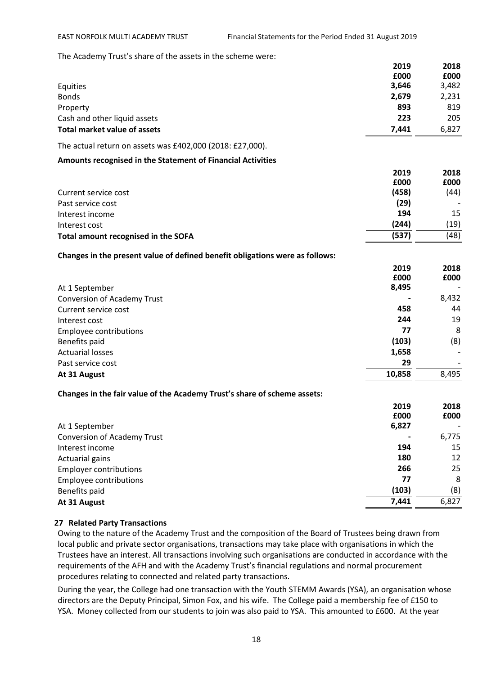The Academy Trust's share of the assets in the scheme were:

|                                                                              | 2019   | 2018  |
|------------------------------------------------------------------------------|--------|-------|
|                                                                              | £000   | £000  |
| Equities                                                                     | 3,646  | 3,482 |
| <b>Bonds</b>                                                                 | 2,679  | 2,231 |
| Property                                                                     | 893    | 819   |
| Cash and other liquid assets                                                 | 223    | 205   |
| <b>Total market value of assets</b>                                          | 7,441  | 6,827 |
| The actual return on assets was £402,000 (2018: £27,000).                    |        |       |
| Amounts recognised in the Statement of Financial Activities                  |        |       |
|                                                                              | 2019   | 2018  |
|                                                                              | £000   | £000  |
| Current service cost                                                         | (458)  | (44)  |
| Past service cost                                                            | (29)   |       |
| Interest income                                                              | 194    | 15    |
| Interest cost                                                                | (244)  | (19)  |
| Total amount recognised in the SOFA                                          | (537)  | (48)  |
| Changes in the present value of defined benefit obligations were as follows: |        |       |
|                                                                              | 2019   | 2018  |
|                                                                              | £000   | £000  |
| At 1 September                                                               | 8,495  |       |
| <b>Conversion of Academy Trust</b>                                           |        | 8,432 |
| Current service cost                                                         | 458    | 44    |
| Interest cost                                                                | 244    | 19    |
| <b>Employee contributions</b>                                                | 77     | 8     |
| Benefits paid                                                                | (103)  | (8)   |
| <b>Actuarial losses</b>                                                      | 1,658  |       |
| Past service cost                                                            | 29     |       |
| At 31 August                                                                 | 10,858 | 8,495 |
| Changes in the fair value of the Academy Trust's share of scheme assets:     |        |       |
|                                                                              | 2019   | 2018  |
|                                                                              | £000   | £000  |
| At 1 September                                                               | 6,827  |       |
| <b>Conversion of Academy Trust</b>                                           |        | 6,775 |
| Interest income                                                              | 194    | 15    |
| <b>Actuarial gains</b>                                                       | 180    | 12    |
| <b>Employer contributions</b>                                                | 266    | 25    |
| <b>Employee contributions</b>                                                | 77     | 8     |
| Benefits paid                                                                | (103)  | (8)   |
| At 31 August                                                                 | 7,441  | 6,827 |
|                                                                              |        |       |

# **27 Related Party Transactions**

Owing to the nature of the Academy Trust and the composition of the Board of Trustees being drawn from local public and private sector organisations, transactions may take place with organisations in which the Trustees have an interest. All transactions involving such organisations are conducted in accordance with the requirements of the AFH and with the Academy Trust's financial regulations and normal procurement procedures relating to connected and related party transactions.

During the year, the College had one transaction with the Youth STEMM Awards (YSA), an organisation whose directors are the Deputy Principal, Simon Fox, and his wife. The College paid a membership fee of £150 to YSA. Money collected from our students to join was also paid to YSA. This amounted to £600. At the year